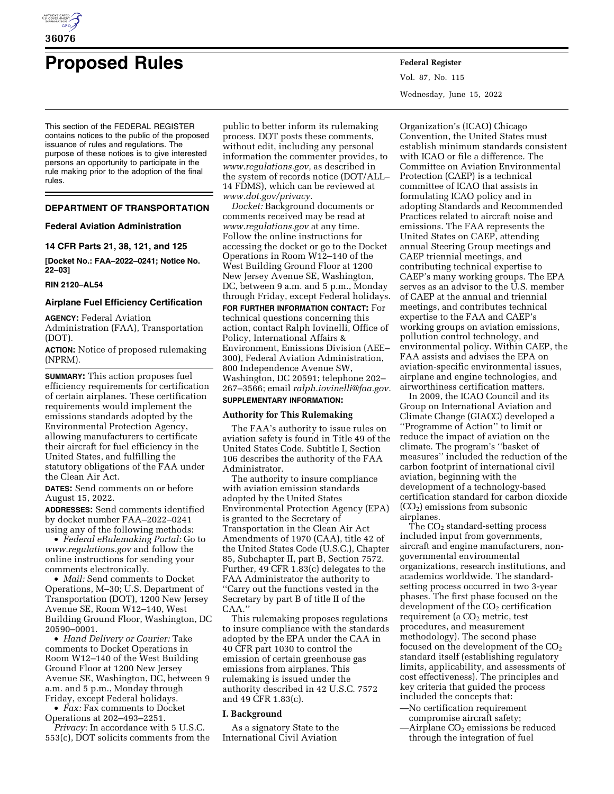

# **Proposed Rules Federal Register**

This section of the FEDERAL REGISTER contains notices to the public of the proposed issuance of rules and regulations. The purpose of these notices is to give interested persons an opportunity to participate in the rule making prior to the adoption of the final rules.

# **DEPARTMENT OF TRANSPORTATION**

## **Federal Aviation Administration**

**14 CFR Parts 21, 38, 121, and 125** 

**[Docket No.: FAA–2022–0241; Notice No. 22–03]** 

#### **RIN 2120–AL54**

# **Airplane Fuel Efficiency Certification**

**AGENCY:** Federal Aviation Administration (FAA), Transportation (DOT).

**ACTION:** Notice of proposed rulemaking (NPRM).

**SUMMARY:** This action proposes fuel efficiency requirements for certification of certain airplanes. These certification requirements would implement the emissions standards adopted by the Environmental Protection Agency, allowing manufacturers to certificate their aircraft for fuel efficiency in the United States, and fulfilling the statutory obligations of the FAA under the Clean Air Act.

**DATES:** Send comments on or before August 15, 2022.

**ADDRESSES:** Send comments identified by docket number FAA–2022–0241 using any of the following methods:

• *Federal eRulemaking Portal:* Go to *[www.regulations.gov](http://www.regulations.gov)* and follow the online instructions for sending your comments electronically.

• *Mail:* Send comments to Docket Operations, M–30; U.S. Department of Transportation (DOT), 1200 New Jersey Avenue SE, Room W12–140, West Building Ground Floor, Washington, DC 20590–0001.

• *Hand Delivery or Courier:* Take comments to Docket Operations in Room W12–140 of the West Building Ground Floor at 1200 New Jersey Avenue SE, Washington, DC, between 9 a.m. and 5 p.m., Monday through Friday, except Federal holidays.

• *Fax:* Fax comments to Docket Operations at 202–493–2251.

*Privacy:* In accordance with 5 U.S.C. 553(c), DOT solicits comments from the public to better inform its rulemaking process. DOT posts these comments, without edit, including any personal information the commenter provides, to *[www.regulations.gov,](http://www.regulations.gov)* as described in the system of records notice (DOT/ALL– 14 FDMS), which can be reviewed at *[www.dot.gov/privacy.](http://www.dot.gov/privacy)* 

*Docket:* Background documents or comments received may be read at *[www.regulations.gov](http://www.regulations.gov)* at any time. Follow the online instructions for accessing the docket or go to the Docket Operations in Room W12–140 of the West Building Ground Floor at 1200 New Jersey Avenue SE, Washington, DC, between 9 a.m. and 5 p.m., Monday through Friday, except Federal holidays.

**FOR FURTHER INFORMATION CONTACT:** For technical questions concerning this action, contact Ralph Iovinelli, Office of Policy, International Affairs & Environment, Emissions Division (AEE– 300), Federal Aviation Administration, 800 Independence Avenue SW, Washington, DC 20591; telephone 202– 267–3566; email *[ralph.iovinelli@faa.gov.](mailto:ralph.iovinelli@faa.gov)*  **SUPPLEMENTARY INFORMATION:** 

## **Authority for This Rulemaking**

The FAA's authority to issue rules on aviation safety is found in Title 49 of the United States Code. Subtitle I, Section 106 describes the authority of the FAA Administrator.

The authority to insure compliance with aviation emission standards adopted by the United States Environmental Protection Agency (EPA) is granted to the Secretary of Transportation in the Clean Air Act Amendments of 1970 (CAA), title 42 of the United States Code (U.S.C.), Chapter 85, Subchapter II, part B, Section 7572. Further, 49 CFR 1.83(c) delegates to the FAA Administrator the authority to ''Carry out the functions vested in the Secretary by part B of title II of the CAA.''

This rulemaking proposes regulations to insure compliance with the standards adopted by the EPA under the CAA in 40 CFR part 1030 to control the emission of certain greenhouse gas emissions from airplanes. This rulemaking is issued under the authority described in 42 U.S.C. 7572 and 49 CFR 1.83(c).

## **I. Background**

As a signatory State to the International Civil Aviation

Vol. 87, No. 115 Wednesday, June 15, 2022

Organization's (ICAO) Chicago Convention, the United States must establish minimum standards consistent with ICAO or file a difference. The Committee on Aviation Environmental Protection (CAEP) is a technical committee of ICAO that assists in formulating ICAO policy and in adopting Standards and Recommended Practices related to aircraft noise and emissions. The FAA represents the United States on CAEP, attending annual Steering Group meetings and CAEP triennial meetings, and contributing technical expertise to CAEP's many working groups. The EPA serves as an advisor to the U.S. member of CAEP at the annual and triennial meetings, and contributes technical expertise to the FAA and CAEP's working groups on aviation emissions, pollution control technology, and environmental policy. Within CAEP, the FAA assists and advises the EPA on aviation-specific environmental issues, airplane and engine technologies, and airworthiness certification matters.

In 2009, the ICAO Council and its Group on International Aviation and Climate Change (GIACC) developed a ''Programme of Action'' to limit or reduce the impact of aviation on the climate. The program's ''basket of measures'' included the reduction of the carbon footprint of international civil aviation, beginning with the development of a technology-based certification standard for carbon dioxide  $(CO<sub>2</sub>)$  emissions from subsonic airplanes.

The  $CO<sub>2</sub>$  standard-setting process included input from governments, aircraft and engine manufacturers, nongovernmental environmental organizations, research institutions, and academics worldwide. The standardsetting process occurred in two 3-year phases. The first phase focused on the  $development$  of the  $CO<sub>2</sub>$  certification requirement (a CO<sub>2</sub> metric, test procedures, and measurement methodology). The second phase focused on the development of the  $CO<sub>2</sub>$ standard itself (establishing regulatory limits, applicability, and assessments of cost effectiveness). The principles and key criteria that guided the process included the concepts that:

—No certification requirement compromise aircraft safety;

 $-\text{Airplane CO}_2$  emissions be reduced through the integration of fuel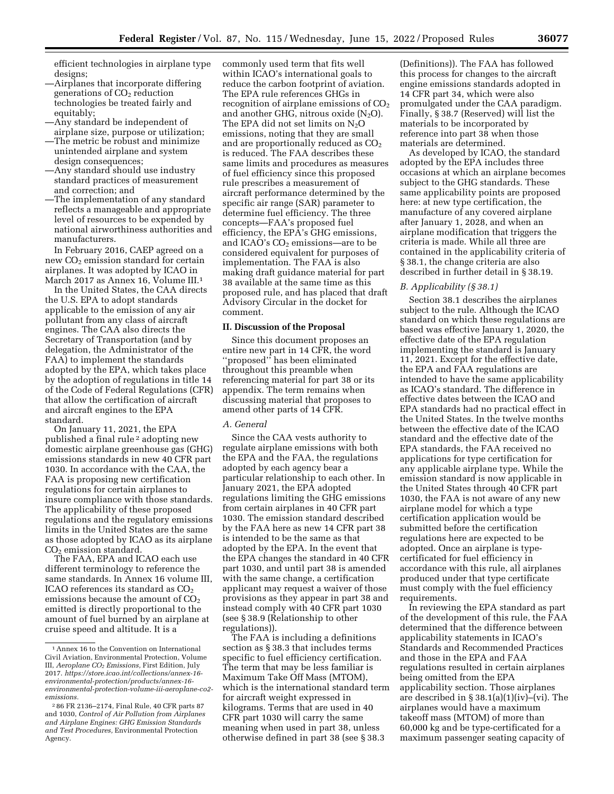efficient technologies in airplane type designs;

- —Airplanes that incorporate differing generations of  $CO<sub>2</sub>$  reduction technologies be treated fairly and equitably;
- —Any standard be independent of airplane size, purpose or utilization;
- —The metric be robust and minimize unintended airplane and system design consequences;
- —Any standard should use industry standard practices of measurement and correction; and
- —The implementation of any standard reflects a manageable and appropriate level of resources to be expended by national airworthiness authorities and manufacturers.

In February 2016, CAEP agreed on a new  $CO<sub>2</sub>$  emission standard for certain airplanes. It was adopted by ICAO in March 2017 as Annex 16, Volume III.<sup>1</sup>

In the United States, the CAA directs the U.S. EPA to adopt standards applicable to the emission of any air pollutant from any class of aircraft engines. The CAA also directs the Secretary of Transportation (and by delegation, the Administrator of the FAA) to implement the standards adopted by the EPA, which takes place by the adoption of regulations in title 14 of the Code of Federal Regulations (CFR) that allow the certification of aircraft and aircraft engines to the EPA standard.

On January 11, 2021, the EPA published a final rule 2 adopting new domestic airplane greenhouse gas (GHG) emissions standards in new 40 CFR part 1030. In accordance with the CAA, the FAA is proposing new certification regulations for certain airplanes to insure compliance with those standards. The applicability of these proposed regulations and the regulatory emissions limits in the United States are the same as those adopted by ICAO as its airplane  $CO<sub>2</sub>$  emission standard.

The FAA, EPA and ICAO each use different terminology to reference the same standards. In Annex 16 volume III, ICAO references its standard as  $CO<sub>2</sub>$ emissions because the amount of  $CO<sub>2</sub>$ emitted is directly proportional to the amount of fuel burned by an airplane at cruise speed and altitude. It is a

commonly used term that fits well within ICAO's international goals to reduce the carbon footprint of aviation. The EPA rule references GHGs in recognition of airplane emissions of  $CO<sub>2</sub>$ and another GHG, nitrous oxide  $(N_2O)$ . The EPA did not set limits on  $N_2O$ emissions, noting that they are small and are proportionally reduced as  $CO<sub>2</sub>$ is reduced. The FAA describes these same limits and procedures as measures of fuel efficiency since this proposed rule prescribes a measurement of aircraft performance determined by the specific air range (SAR) parameter to determine fuel efficiency. The three concepts—FAA's proposed fuel efficiency, the EPA's GHG emissions, and ICAO's  $CO<sub>2</sub>$  emissions—are to be considered equivalent for purposes of implementation. The FAA is also making draft guidance material for part 38 available at the same time as this proposed rule, and has placed that draft Advisory Circular in the docket for comment.

#### **II. Discussion of the Proposal**

Since this document proposes an entire new part in 14 CFR, the word ''proposed'' has been eliminated throughout this preamble when referencing material for part 38 or its appendix. The term remains when discussing material that proposes to amend other parts of 14 CFR.

#### *A. General*

Since the CAA vests authority to regulate airplane emissions with both the EPA and the FAA, the regulations adopted by each agency bear a particular relationship to each other. In January 2021, the EPA adopted regulations limiting the GHG emissions from certain airplanes in 40 CFR part 1030. The emission standard described by the FAA here as new 14 CFR part 38 is intended to be the same as that adopted by the EPA. In the event that the EPA changes the standard in 40 CFR part 1030, and until part 38 is amended with the same change, a certification applicant may request a waiver of those provisions as they appear in part 38 and instead comply with 40 CFR part 1030 (see § 38.9 (Relationship to other regulations)).

The FAA is including a definitions section as § 38.3 that includes terms specific to fuel efficiency certification. The term that may be less familiar is Maximum Take Off Mass (MTOM), which is the international standard term for aircraft weight expressed in kilograms. Terms that are used in 40 CFR part 1030 will carry the same meaning when used in part 38, unless otherwise defined in part 38 (see § 38.3

(Definitions)). The FAA has followed this process for changes to the aircraft engine emissions standards adopted in 14 CFR part 34, which were also promulgated under the CAA paradigm. Finally, § 38.7 (Reserved) will list the materials to be incorporated by reference into part 38 when those materials are determined.

As developed by ICAO, the standard adopted by the EPA includes three occasions at which an airplane becomes subject to the GHG standards. These same applicability points are proposed here: at new type certification, the manufacture of any covered airplane after January 1, 2028, and when an airplane modification that triggers the criteria is made. While all three are contained in the applicability criteria of § 38.1, the change criteria are also described in further detail in § 38.19.

#### *B. Applicability (§ 38.1)*

Section 38.1 describes the airplanes subject to the rule. Although the ICAO standard on which these regulations are based was effective January 1, 2020, the effective date of the EPA regulation implementing the standard is January 11, 2021. Except for the effective date, the EPA and FAA regulations are intended to have the same applicability as ICAO's standard. The difference in effective dates between the ICAO and EPA standards had no practical effect in the United States. In the twelve months between the effective date of the ICAO standard and the effective date of the EPA standards, the FAA received no applications for type certification for any applicable airplane type. While the emission standard is now applicable in the United States through 40 CFR part 1030, the FAA is not aware of any new airplane model for which a type certification application would be submitted before the certification regulations here are expected to be adopted. Once an airplane is typecertificated for fuel efficiency in accordance with this rule, all airplanes produced under that type certificate must comply with the fuel efficiency requirements.

In reviewing the EPA standard as part of the development of this rule, the FAA determined that the difference between applicability statements in ICAO's Standards and Recommended Practices and those in the EPA and FAA regulations resulted in certain airplanes being omitted from the EPA applicability section. Those airplanes are described in § 38.1(a)(1)(iv)–(vi). The airplanes would have a maximum takeoff mass (MTOM) of more than 60,000 kg and be type-certificated for a maximum passenger seating capacity of

 $^{\rm 1}$  Annex 16 to the Convention on International Civil Aviation, Environmental Protection, Volume III, *Aeroplane CO2 Emissions,* First Edition, July 2017. *[https://store.icao.int/collections/annex-16](https://store.icao.int/collections/annex-16-environmental-protection/products/annex-16-environmental-protection-volume-iii-aeroplane-co2-emissions) [environmental-protection/products/annex-16](https://store.icao.int/collections/annex-16-environmental-protection/products/annex-16-environmental-protection-volume-iii-aeroplane-co2-emissions) [environmental-protection-volume-iii-aeroplane-co2](https://store.icao.int/collections/annex-16-environmental-protection/products/annex-16-environmental-protection-volume-iii-aeroplane-co2-emissions)  [emissions.](https://store.icao.int/collections/annex-16-environmental-protection/products/annex-16-environmental-protection-volume-iii-aeroplane-co2-emissions)* 

<sup>2</sup> 86 FR 2136–2174, Final Rule, 40 CFR parts 87 and 1030, *Control of Air Pollution from Airplanes and Airplane Engines: GHG Emission Standards and Test Procedures,* Environmental Protection Agency.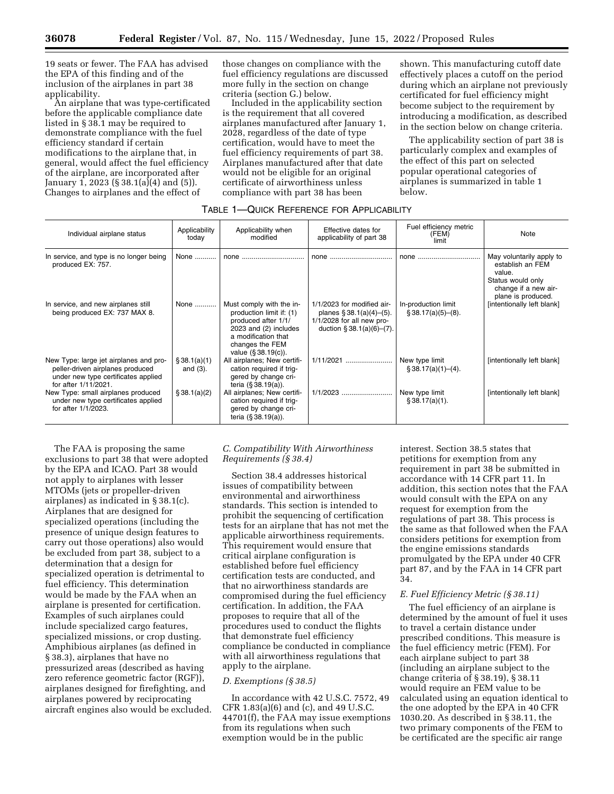19 seats or fewer. The FAA has advised the EPA of this finding and of the inclusion of the airplanes in part 38 applicability.

An airplane that was type-certificated before the applicable compliance date listed in § 38.1 may be required to demonstrate compliance with the fuel efficiency standard if certain modifications to the airplane that, in general, would affect the fuel efficiency of the airplane, are incorporated after January 1, 2023 (§ 38.1(a)(4) and (5)). Changes to airplanes and the effect of

those changes on compliance with the fuel efficiency regulations are discussed more fully in the section on change criteria (section G.) below.

Included in the applicability section is the requirement that all covered airplanes manufactured after January 1, 2028, regardless of the date of type certification, would have to meet the fuel efficiency requirements of part 38. Airplanes manufactured after that date would not be eligible for an original certificate of airworthiness unless compliance with part 38 has been

shown. This manufacturing cutoff date effectively places a cutoff on the period during which an airplane not previously certificated for fuel efficiency might become subject to the requirement by introducing a modification, as described in the section below on change criteria.

The applicability section of part 38 is particularly complex and examples of the effect of this part on selected popular operational categories of airplanes is summarized in table 1 below.

# TABLE 1—QUICK REFERENCE FOR APPLICABILITY

| Individual airplane status                                                                                                                | Applicability<br>today      | Applicability when<br>modified                                                                                                                                        | Effective dates for<br>applicability of part 38                                                                           | Fuel efficiency metric<br>(FEM)<br>limit  | Note                                                                                                                      |
|-------------------------------------------------------------------------------------------------------------------------------------------|-----------------------------|-----------------------------------------------------------------------------------------------------------------------------------------------------------------------|---------------------------------------------------------------------------------------------------------------------------|-------------------------------------------|---------------------------------------------------------------------------------------------------------------------------|
| In service, and type is no longer being<br>produced EX: 757.                                                                              | None                        | none                                                                                                                                                                  | none                                                                                                                      | none                                      | May voluntarily apply to<br>establish an FEM<br>value.<br>Status would only<br>change if a new air-<br>plane is produced. |
| In service, and new airplanes still<br>being produced EX: 737 MAX 8.                                                                      | None                        | Must comply with the in-<br>production limit if: (1)<br>produced after 1/1/<br>2023 and (2) includes<br>a modification that<br>changes the FEM<br>value (§ 38.19(c)). | 1/1/2023 for modified air-<br>planes $\S 38.1(a)(4)–(5)$ .<br>$1/1/2028$ for all new pro-<br>duction $§ 38.1(a)(6)–(7)$ . | In-production limit<br>§ 38.17(a)(5)–(8). | [intentionally left blank]                                                                                                |
| New Type: large jet airplanes and pro-<br>peller-driven airplanes produced<br>under new type certificates applied<br>for after 1/11/2021. | \$38.1(a)(1)<br>and $(3)$ . | All airplanes; New certifi-<br>cation required if trig-<br>gered by change cri-<br>teria $(§ 38.19(a))$ .                                                             | 1/11/2021                                                                                                                 | New type limit<br>§ 38.17(a)(1)–(4).      | [intentionally left blank]                                                                                                |
| New Type: small airplanes produced<br>under new type certificates applied<br>for after 1/1/2023.                                          | \$38.1(a)(2)                | All airplanes; New certifi-<br>cation required if trig-<br>gered by change cri-<br>teria (§ 38.19(a)).                                                                | 1/1/2023                                                                                                                  | New type limit<br>\$38.17(a)(1).          | [intentionally left blank]                                                                                                |

The FAA is proposing the same exclusions to part 38 that were adopted by the EPA and ICAO. Part 38 would not apply to airplanes with lesser MTOMs (jets or propeller-driven airplanes) as indicated in § 38.1(c). Airplanes that are designed for specialized operations (including the presence of unique design features to carry out those operations) also would be excluded from part 38, subject to a determination that a design for specialized operation is detrimental to fuel efficiency. This determination would be made by the FAA when an airplane is presented for certification. Examples of such airplanes could include specialized cargo features, specialized missions, or crop dusting. Amphibious airplanes (as defined in § 38.3), airplanes that have no pressurized areas (described as having zero reference geometric factor (RGF)), airplanes designed for firefighting, and airplanes powered by reciprocating aircraft engines also would be excluded.

## *C. Compatibility With Airworthiness Requirements (§ 38.4)*

Section 38.4 addresses historical issues of compatibility between environmental and airworthiness standards. This section is intended to prohibit the sequencing of certification tests for an airplane that has not met the applicable airworthiness requirements. This requirement would ensure that critical airplane configuration is established before fuel efficiency certification tests are conducted, and that no airworthiness standards are compromised during the fuel efficiency certification. In addition, the FAA proposes to require that all of the procedures used to conduct the flights that demonstrate fuel efficiency compliance be conducted in compliance with all airworthiness regulations that apply to the airplane.

## *D. Exemptions (§ 38.5)*

In accordance with 42 U.S.C. 7572, 49 CFR 1.83(a)(6) and (c), and 49 U.S.C. 44701(f), the FAA may issue exemptions from its regulations when such exemption would be in the public

interest. Section 38.5 states that petitions for exemption from any requirement in part 38 be submitted in accordance with 14 CFR part 11. In addition, this section notes that the FAA would consult with the EPA on any request for exemption from the regulations of part 38. This process is the same as that followed when the FAA considers petitions for exemption from the engine emissions standards promulgated by the EPA under 40 CFR part 87, and by the FAA in 14 CFR part 34.

# *E. Fuel Efficiency Metric (§ 38.11)*

The fuel efficiency of an airplane is determined by the amount of fuel it uses to travel a certain distance under prescribed conditions. This measure is the fuel efficiency metric (FEM). For each airplane subject to part 38 (including an airplane subject to the change criteria of § 38.19), § 38.11 would require an FEM value to be calculated using an equation identical to the one adopted by the EPA in 40 CFR 1030.20. As described in § 38.11, the two primary components of the FEM to be certificated are the specific air range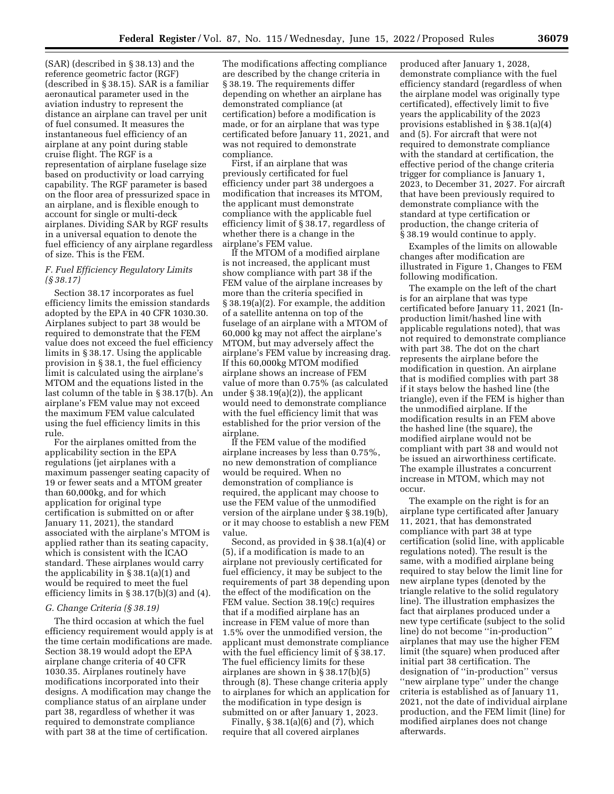(SAR) (described in § 38.13) and the reference geometric factor (RGF) (described in § 38.15). SAR is a familiar aeronautical parameter used in the aviation industry to represent the distance an airplane can travel per unit of fuel consumed. It measures the instantaneous fuel efficiency of an airplane at any point during stable cruise flight. The RGF is a representation of airplane fuselage size based on productivity or load carrying capability. The RGF parameter is based on the floor area of pressurized space in an airplane, and is flexible enough to account for single or multi-deck airplanes. Dividing SAR by RGF results in a universal equation to denote the fuel efficiency of any airplane regardless of size. This is the FEM.

## *F. Fuel Efficiency Regulatory Limits (§ 38.17)*

Section 38.17 incorporates as fuel efficiency limits the emission standards adopted by the EPA in 40 CFR 1030.30. Airplanes subject to part 38 would be required to demonstrate that the FEM value does not exceed the fuel efficiency limits in § 38.17. Using the applicable provision in § 38.1, the fuel efficiency limit is calculated using the airplane's MTOM and the equations listed in the last column of the table in § 38.17(b). An airplane's FEM value may not exceed the maximum FEM value calculated using the fuel efficiency limits in this rule.

For the airplanes omitted from the applicability section in the EPA regulations (jet airplanes with a maximum passenger seating capacity of 19 or fewer seats and a MTOM greater than 60,000kg, and for which application for original type certification is submitted on or after January 11, 2021), the standard associated with the airplane's MTOM is applied rather than its seating capacity, which is consistent with the ICAO standard. These airplanes would carry the applicability in § 38.1(a)(1) and would be required to meet the fuel efficiency limits in § 38.17(b)(3) and (4).

#### *G. Change Criteria (§ 38.19)*

The third occasion at which the fuel efficiency requirement would apply is at the time certain modifications are made. Section 38.19 would adopt the EPA airplane change criteria of 40 CFR 1030.35. Airplanes routinely have modifications incorporated into their designs. A modification may change the compliance status of an airplane under part 38, regardless of whether it was required to demonstrate compliance with part 38 at the time of certification.

The modifications affecting compliance are described by the change criteria in § 38.19. The requirements differ depending on whether an airplane has demonstrated compliance (at certification) before a modification is made, or for an airplane that was type certificated before January 11, 2021, and was not required to demonstrate compliance.

First, if an airplane that was previously certificated for fuel efficiency under part 38 undergoes a modification that increases its MTOM, the applicant must demonstrate compliance with the applicable fuel efficiency limit of § 38.17, regardless of whether there is a change in the airplane's FEM value.

If the MTOM of a modified airplane is not increased, the applicant must show compliance with part 38 if the FEM value of the airplane increases by more than the criteria specified in § 38.19(a)(2). For example, the addition of a satellite antenna on top of the fuselage of an airplane with a MTOM of 60,000 kg may not affect the airplane's MTOM, but may adversely affect the airplane's FEM value by increasing drag. If this 60,000kg MTOM modified airplane shows an increase of FEM value of more than 0.75% (as calculated under § 38.19(a)(2)), the applicant would need to demonstrate compliance with the fuel efficiency limit that was established for the prior version of the airplane.

If the FEM value of the modified airplane increases by less than 0.75%, no new demonstration of compliance would be required. When no demonstration of compliance is required, the applicant may choose to use the FEM value of the unmodified version of the airplane under § 38.19(b), or it may choose to establish a new FEM value.

Second, as provided in § 38.1(a)(4) or (5), if a modification is made to an airplane not previously certificated for fuel efficiency, it may be subject to the requirements of part 38 depending upon the effect of the modification on the FEM value. Section 38.19(c) requires that if a modified airplane has an increase in FEM value of more than 1.5% over the unmodified version, the applicant must demonstrate compliance with the fuel efficiency limit of § 38.17. The fuel efficiency limits for these airplanes are shown in § 38.17(b)(5) through (8). These change criteria apply to airplanes for which an application for the modification in type design is submitted on or after January 1, 2023.

Finally,  $\S 38.1(a)(6)$  and  $(7)$ , which require that all covered airplanes

produced after January 1, 2028, demonstrate compliance with the fuel efficiency standard (regardless of when the airplane model was originally type certificated), effectively limit to five years the applicability of the 2023 provisions established in § 38.1(a)(4) and (5). For aircraft that were not required to demonstrate compliance with the standard at certification, the effective period of the change criteria trigger for compliance is January 1, 2023, to December 31, 2027. For aircraft that have been previously required to demonstrate compliance with the standard at type certification or production, the change criteria of § 38.19 would continue to apply.

Examples of the limits on allowable changes after modification are illustrated in Figure 1, Changes to FEM following modification.

The example on the left of the chart is for an airplane that was type certificated before January 11, 2021 (Inproduction limit/hashed line with applicable regulations noted), that was not required to demonstrate compliance with part 38. The dot on the chart represents the airplane before the modification in question. An airplane that is modified complies with part 38 if it stays below the hashed line (the triangle), even if the FEM is higher than the unmodified airplane. If the modification results in an FEM above the hashed line (the square), the modified airplane would not be compliant with part 38 and would not be issued an airworthiness certificate. The example illustrates a concurrent increase in MTOM, which may not occur.

The example on the right is for an airplane type certificated after January 11, 2021, that has demonstrated compliance with part 38 at type certification (solid line, with applicable regulations noted). The result is the same, with a modified airplane being required to stay below the limit line for new airplane types (denoted by the triangle relative to the solid regulatory line). The illustration emphasizes the fact that airplanes produced under a new type certificate (subject to the solid line) do not become ''in-production'' airplanes that may use the higher FEM limit (the square) when produced after initial part 38 certification. The designation of ''in-production'' versus ''new airplane type'' under the change criteria is established as of January 11, 2021, not the date of individual airplane production, and the FEM limit (line) for modified airplanes does not change afterwards.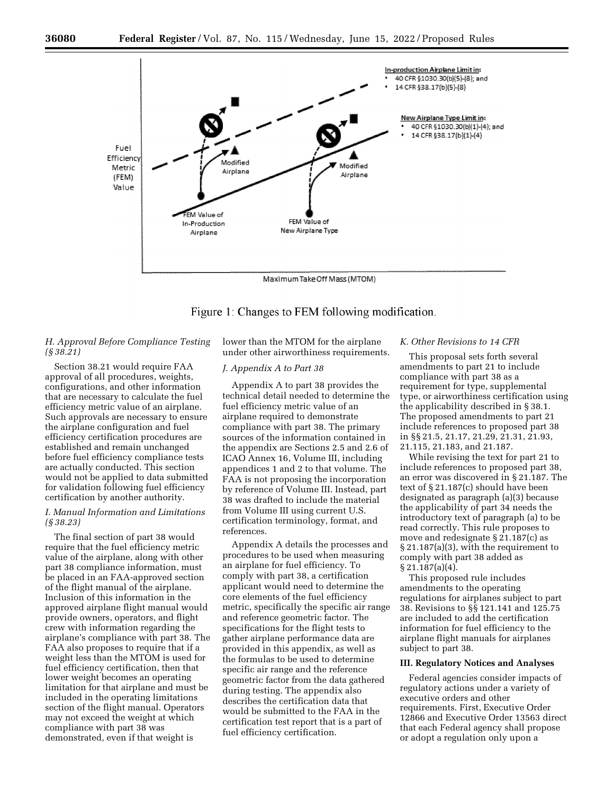

Figure 1: Changes to FEM following modification.

# *H. Approval Before Compliance Testing (§ 38.21)*

Section 38.21 would require FAA approval of all procedures, weights, configurations, and other information that are necessary to calculate the fuel efficiency metric value of an airplane. Such approvals are necessary to ensure the airplane configuration and fuel efficiency certification procedures are established and remain unchanged before fuel efficiency compliance tests are actually conducted. This section would not be applied to data submitted for validation following fuel efficiency certification by another authority.

# *I. Manual Information and Limitations (§ 38.23)*

The final section of part 38 would require that the fuel efficiency metric value of the airplane, along with other part 38 compliance information, must be placed in an FAA-approved section of the flight manual of the airplane. Inclusion of this information in the approved airplane flight manual would provide owners, operators, and flight crew with information regarding the airplane's compliance with part 38. The FAA also proposes to require that if a weight less than the MTOM is used for fuel efficiency certification, then that lower weight becomes an operating limitation for that airplane and must be included in the operating limitations section of the flight manual. Operators may not exceed the weight at which compliance with part 38 was demonstrated, even if that weight is

lower than the MTOM for the airplane under other airworthiness requirements.

# *J. Appendix A to Part 38*

Appendix A to part 38 provides the technical detail needed to determine the fuel efficiency metric value of an airplane required to demonstrate compliance with part 38. The primary sources of the information contained in the appendix are Sections 2.5 and 2.6 of ICAO Annex 16, Volume III, including appendices 1 and 2 to that volume. The FAA is not proposing the incorporation by reference of Volume III. Instead, part 38 was drafted to include the material from Volume III using current U.S. certification terminology, format, and references.

Appendix A details the processes and procedures to be used when measuring an airplane for fuel efficiency. To comply with part 38, a certification applicant would need to determine the core elements of the fuel efficiency metric, specifically the specific air range and reference geometric factor. The specifications for the flight tests to gather airplane performance data are provided in this appendix, as well as the formulas to be used to determine specific air range and the reference geometric factor from the data gathered during testing. The appendix also describes the certification data that would be submitted to the FAA in the certification test report that is a part of fuel efficiency certification.

## *K. Other Revisions to 14 CFR*

This proposal sets forth several amendments to part 21 to include compliance with part 38 as a requirement for type, supplemental type, or airworthiness certification using the applicability described in § 38.1. The proposed amendments to part 21 include references to proposed part 38 in §§ 21.5, 21.17, 21.29, 21.31, 21.93, 21.115, 21.183, and 21.187.

While revising the text for part 21 to include references to proposed part 38, an error was discovered in § 21.187. The text of § 21.187(c) should have been designated as paragraph (a)(3) because the applicability of part 34 needs the introductory text of paragraph (a) to be read correctly. This rule proposes to move and redesignate § 21.187(c) as § 21.187(a)(3), with the requirement to comply with part 38 added as § 21.187(a)(4).

This proposed rule includes amendments to the operating regulations for airplanes subject to part 38. Revisions to §§ 121.141 and 125.75 are included to add the certification information for fuel efficiency to the airplane flight manuals for airplanes subject to part 38.

#### **III. Regulatory Notices and Analyses**

Federal agencies consider impacts of regulatory actions under a variety of executive orders and other requirements. First, Executive Order 12866 and Executive Order 13563 direct that each Federal agency shall propose or adopt a regulation only upon a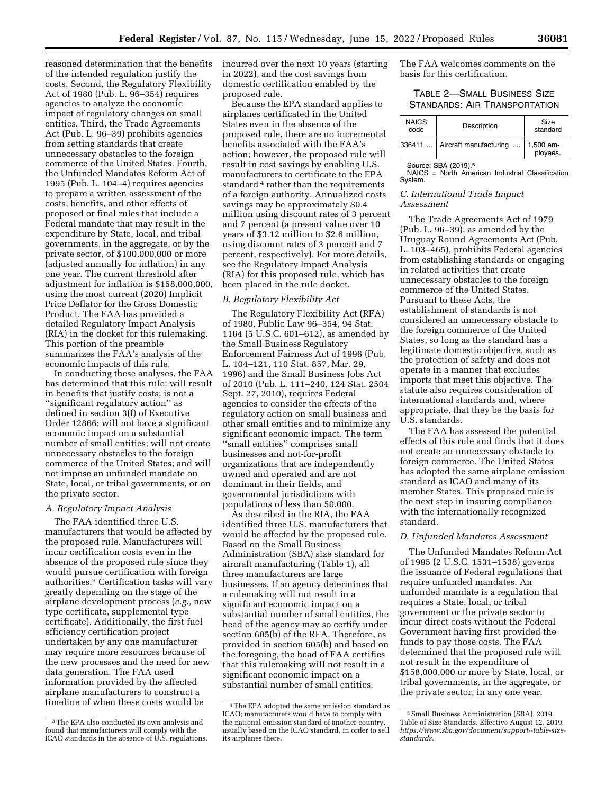reasoned determination that the benefits of the intended regulation justify the costs. Second, the Regulatory Flexibility Act of 1980 (Pub. L. 96–354) requires agencies to analyze the economic impact of regulatory changes on small entities. Third, the Trade Agreements Act (Pub. L. 96–39) prohibits agencies from setting standards that create unnecessary obstacles to the foreign commerce of the United States. Fourth, the Unfunded Mandates Reform Act of 1995 (Pub. L. 104–4) requires agencies to prepare a written assessment of the costs, benefits, and other effects of proposed or final rules that include a Federal mandate that may result in the expenditure by State, local, and tribal governments, in the aggregate, or by the private sector, of \$100,000,000 or more (adjusted annually for inflation) in any one year. The current threshold after adjustment for inflation is \$158,000,000, using the most current (2020) Implicit Price Deflator for the Gross Domestic Product. The FAA has provided a detailed Regulatory Impact Analysis (RIA) in the docket for this rulemaking. This portion of the preamble summarizes the FAA's analysis of the economic impacts of this rule.

In conducting these analyses, the FAA has determined that this rule: will result in benefits that justify costs; is not a ''significant regulatory action'' as defined in section 3(f) of Executive Order 12866; will not have a significant economic impact on a substantial number of small entities; will not create unnecessary obstacles to the foreign commerce of the United States; and will not impose an unfunded mandate on State, local, or tribal governments, or on the private sector.

## *A. Regulatory Impact Analysis*

The FAA identified three U.S. manufacturers that would be affected by the proposed rule. Manufacturers will incur certification costs even in the absence of the proposed rule since they would pursue certification with foreign authorities.3 Certification tasks will vary greatly depending on the stage of the airplane development process (*e.g.,* new type certificate, supplemental type certificate). Additionally, the first fuel efficiency certification project undertaken by any one manufacturer may require more resources because of the new processes and the need for new data generation. The FAA used information provided by the affected airplane manufacturers to construct a timeline of when these costs would be

incurred over the next 10 years (starting in 2022), and the cost savings from domestic certification enabled by the proposed rule.

Because the EPA standard applies to airplanes certificated in the United States even in the absence of the proposed rule, there are no incremental benefits associated with the FAA's action; however, the proposed rule will result in cost savings by enabling U.S. manufacturers to certificate to the EPA standard<sup>4</sup> rather than the requirements of a foreign authority. Annualized costs savings may be approximately \$0.4 million using discount rates of 3 percent and 7 percent (a present value over 10 years of \$3.12 million to \$2.6 million, using discount rates of 3 percent and 7 percent, respectively). For more details, see the Regulatory Impact Analysis (RIA) for this proposed rule, which has been placed in the rule docket.

#### *B. Regulatory Flexibility Act*

The Regulatory Flexibility Act (RFA) of 1980, Public Law 96–354, 94 Stat. 1164 (5 U.S.C. 601–612), as amended by the Small Business Regulatory Enforcement Fairness Act of 1996 (Pub. L. 104–121, 110 Stat. 857, Mar. 29, 1996) and the Small Business Jobs Act of 2010 (Pub. L. 111–240, 124 Stat. 2504 Sept. 27, 2010), requires Federal agencies to consider the effects of the regulatory action on small business and other small entities and to minimize any significant economic impact. The term ''small entities'' comprises small businesses and not-for-profit organizations that are independently owned and operated and are not dominant in their fields, and governmental jurisdictions with populations of less than 50,000.

As described in the RIA, the FAA identified three U.S. manufacturers that would be affected by the proposed rule. Based on the Small Business Administration (SBA) size standard for aircraft manufacturing (Table 1), all three manufacturers are large businesses. If an agency determines that a rulemaking will not result in a significant economic impact on a substantial number of small entities, the head of the agency may so certify under section 605(b) of the RFA. Therefore, as provided in section 605(b) and based on the foregoing, the head of FAA certifies that this rulemaking will not result in a significant economic impact on a substantial number of small entities.

The FAA welcomes comments on the basis for this certification.

# TABLE 2—SMALL BUSINESS SIZE STANDARDS: AIR TRANSPORTATION

| <b>NAICS</b><br>code | Description                      | Size<br>standard      |  |
|----------------------|----------------------------------|-----------------------|--|
|                      | 336411    Aircraft manufacturing | 1,500 em-<br>ployees. |  |

Source: SBA (2019).5 NAICS = North American Industrial Classification System.

## *C. International Trade Impact Assessment*

The Trade Agreements Act of 1979 (Pub. L. 96–39), as amended by the Uruguay Round Agreements Act (Pub. L. 103–465), prohibits Federal agencies from establishing standards or engaging in related activities that create unnecessary obstacles to the foreign commerce of the United States. Pursuant to these Acts, the establishment of standards is not considered an unnecessary obstacle to the foreign commerce of the United States, so long as the standard has a legitimate domestic objective, such as the protection of safety and does not operate in a manner that excludes imports that meet this objective. The statute also requires consideration of international standards and, where appropriate, that they be the basis for U.S. standards.

The FAA has assessed the potential effects of this rule and finds that it does not create an unnecessary obstacle to foreign commerce. The United States has adopted the same airplane emission standard as ICAO and many of its member States. This proposed rule is the next step in insuring compliance with the internationally recognized standard.

## *D. Unfunded Mandates Assessment*

The Unfunded Mandates Reform Act of 1995 (2 U.S.C. 1531–1538) governs the issuance of Federal regulations that require unfunded mandates. An unfunded mandate is a regulation that requires a State, local, or tribal government or the private sector to incur direct costs without the Federal Government having first provided the funds to pay those costs. The FAA determined that the proposed rule will not result in the expenditure of \$158,000,000 or more by State, local, or tribal governments, in the aggregate, or the private sector, in any one year.

<sup>3</sup>The EPA also conducted its own analysis and found that manufacturers will comply with the ICAO standards in the absence of  $\dot{U}.\dot{S}$ . regulations.

<sup>4</sup>The EPA adopted the same emission standard as ICAO; manufacturers would have to comply with the national emission standard of another country, usually based on the ICAO standard, in order to sell its airplanes there.

<sup>5</sup>Small Business Administration (SBA). 2019. Table of Size Standards. Effective August 12, 2019. *[https://www.sba.gov/document/support--table-size](https://www.sba.gov/document/support--table-size-standards)[standards.](https://www.sba.gov/document/support--table-size-standards)*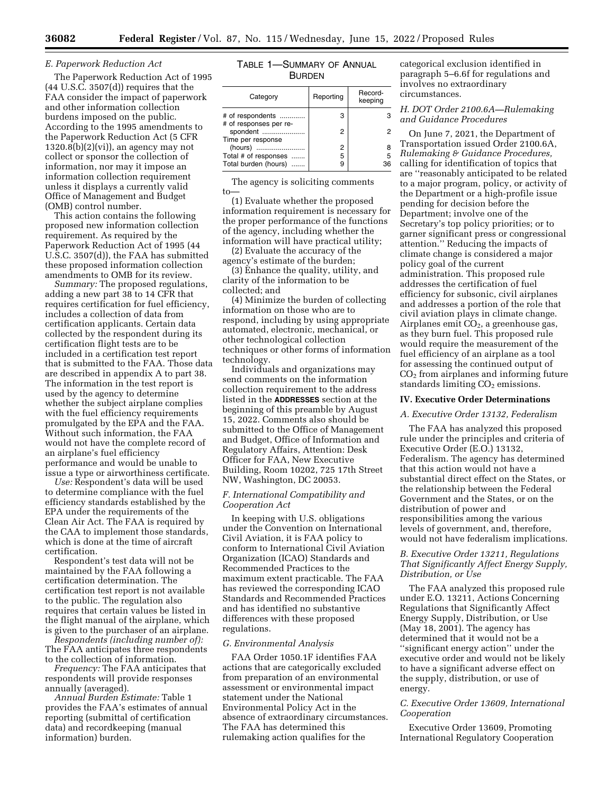#### *E. Paperwork Reduction Act*

The Paperwork Reduction Act of 1995  $(44 \text{ U.S. C. } 3507\text{ (d)})$  requires that the FAA consider the impact of paperwork and other information collection burdens imposed on the public. According to the 1995 amendments to the Paperwork Reduction Act (5 CFR  $1320.8(b)(2)(vi)$ , an agency may not collect or sponsor the collection of information, nor may it impose an information collection requirement unless it displays a currently valid Office of Management and Budget (OMB) control number.

This action contains the following proposed new information collection requirement. As required by the Paperwork Reduction Act of 1995 (44 U.S.C. 3507(d)), the FAA has submitted these proposed information collection amendments to OMB for its review.

*Summary:* The proposed regulations, adding a new part 38 to 14 CFR that requires certification for fuel efficiency, includes a collection of data from certification applicants. Certain data collected by the respondent during its certification flight tests are to be included in a certification test report that is submitted to the FAA. Those data are described in appendix A to part 38. The information in the test report is used by the agency to determine whether the subject airplane complies with the fuel efficiency requirements promulgated by the EPA and the FAA. Without such information, the FAA would not have the complete record of an airplane's fuel efficiency performance and would be unable to issue a type or airworthiness certificate.

*Use:* Respondent's data will be used to determine compliance with the fuel efficiency standards established by the EPA under the requirements of the Clean Air Act. The FAA is required by the CAA to implement those standards, which is done at the time of aircraft certification.

Respondent's test data will not be maintained by the FAA following a certification determination. The certification test report is not available to the public. The regulation also requires that certain values be listed in the flight manual of the airplane, which is given to the purchaser of an airplane.

*Respondents (including number of):*  The FAA anticipates three respondents to the collection of information.

*Frequency:* The FAA anticipates that respondents will provide responses annually (averaged).

*Annual Burden Estimate:* Table 1 provides the FAA's estimates of annual reporting (submittal of certification data) and recordkeeping (manual information) burden.

| Table 1—Summary of Annual |  |
|---------------------------|--|
| <b>BURDEN</b>             |  |

| Category                                                | Reporting | Record-<br>keeping |
|---------------------------------------------------------|-----------|--------------------|
| # of respondents                                        | 3         |                    |
| # of responses per re-<br>spondent<br>Time per response | 2         | 2                  |
| (hours)                                                 | 2         | 8                  |
| Total # of responses                                    | 5         | 5                  |
| Total burden (hours)                                    | 9         | 36                 |

The agency is soliciting comments to—

(1) Evaluate whether the proposed information requirement is necessary for the proper performance of the functions of the agency, including whether the information will have practical utility;

(2) Evaluate the accuracy of the agency's estimate of the burden;

(3) Enhance the quality, utility, and clarity of the information to be collected; and

(4) Minimize the burden of collecting information on those who are to respond, including by using appropriate automated, electronic, mechanical, or other technological collection techniques or other forms of information technology.

Individuals and organizations may send comments on the information collection requirement to the address listed in the **ADDRESSES** section at the beginning of this preamble by August 15, 2022. Comments also should be submitted to the Office of Management and Budget, Office of Information and Regulatory Affairs, Attention: Desk Officer for FAA, New Executive Building, Room 10202, 725 17th Street NW, Washington, DC 20053.

## *F. International Compatibility and Cooperation Act*

In keeping with U.S. obligations under the Convention on International Civil Aviation, it is FAA policy to conform to International Civil Aviation Organization (ICAO) Standards and Recommended Practices to the maximum extent practicable. The FAA has reviewed the corresponding ICAO Standards and Recommended Practices and has identified no substantive differences with these proposed regulations.

## *G. Environmental Analysis*

FAA Order 1050.1F identifies FAA actions that are categorically excluded from preparation of an environmental assessment or environmental impact statement under the National Environmental Policy Act in the absence of extraordinary circumstances. The FAA has determined this rulemaking action qualifies for the

categorical exclusion identified in paragraph 5–6.6f for regulations and involves no extraordinary circumstances.

# *H. DOT Order 2100.6A—Rulemaking and Guidance Procedures*

On June 7, 2021, the Department of Transportation issued Order 2100.6A, *Rulemaking & Guidance Procedures,*  calling for identification of topics that are ''reasonably anticipated to be related to a major program, policy, or activity of the Department or a high-profile issue pending for decision before the Department; involve one of the Secretary's top policy priorities; or to garner significant press or congressional attention.'' Reducing the impacts of climate change is considered a major policy goal of the current administration. This proposed rule addresses the certification of fuel efficiency for subsonic, civil airplanes and addresses a portion of the role that civil aviation plays in climate change. Airplanes emit  $CO<sub>2</sub>$ , a greenhouse gas, as they burn fuel. This proposed rule would require the measurement of the fuel efficiency of an airplane as a tool for assessing the continued output of CO2 from airplanes and informing future standards limiting  $CO<sub>2</sub>$  emissions.

## **IV. Executive Order Determinations**

#### *A. Executive Order 13132, Federalism*

The FAA has analyzed this proposed rule under the principles and criteria of Executive Order (E.O.) 13132, Federalism. The agency has determined that this action would not have a substantial direct effect on the States, or the relationship between the Federal Government and the States, or on the distribution of power and responsibilities among the various levels of government, and, therefore, would not have federalism implications.

## *B. Executive Order 13211, Regulations That Significantly Affect Energy Supply, Distribution, or Use*

The FAA analyzed this proposed rule under E.O. 13211, Actions Concerning Regulations that Significantly Affect Energy Supply, Distribution, or Use (May 18, 2001). The agency has determined that it would not be a ''significant energy action'' under the executive order and would not be likely to have a significant adverse effect on the supply, distribution, or use of energy.

## *C. Executive Order 13609, International Cooperation*

Executive Order 13609, Promoting International Regulatory Cooperation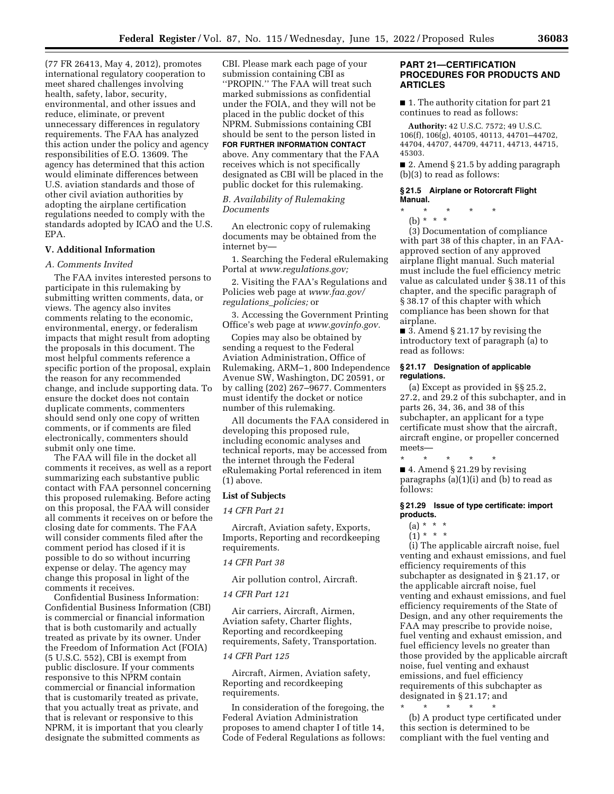(77 FR 26413, May 4, 2012), promotes international regulatory cooperation to meet shared challenges involving health, safety, labor, security, environmental, and other issues and reduce, eliminate, or prevent unnecessary differences in regulatory requirements. The FAA has analyzed this action under the policy and agency responsibilities of E.O. 13609. The agency has determined that this action would eliminate differences between U.S. aviation standards and those of other civil aviation authorities by adopting the airplane certification regulations needed to comply with the standards adopted by ICAO and the U.S. EPA.

## **V. Additional Information**

#### *A. Comments Invited*

The FAA invites interested persons to participate in this rulemaking by submitting written comments, data, or views. The agency also invites comments relating to the economic, environmental, energy, or federalism impacts that might result from adopting the proposals in this document. The most helpful comments reference a specific portion of the proposal, explain the reason for any recommended change, and include supporting data. To ensure the docket does not contain duplicate comments, commenters should send only one copy of written comments, or if comments are filed electronically, commenters should submit only one time.

The FAA will file in the docket all comments it receives, as well as a report summarizing each substantive public contact with FAA personnel concerning this proposed rulemaking. Before acting on this proposal, the FAA will consider all comments it receives on or before the closing date for comments. The FAA will consider comments filed after the comment period has closed if it is possible to do so without incurring expense or delay. The agency may change this proposal in light of the comments it receives.

Confidential Business Information: Confidential Business Information (CBI) is commercial or financial information that is both customarily and actually treated as private by its owner. Under the Freedom of Information Act (FOIA) (5 U.S.C. 552), CBI is exempt from public disclosure. If your comments responsive to this NPRM contain commercial or financial information that is customarily treated as private, that you actually treat as private, and that is relevant or responsive to this NPRM, it is important that you clearly designate the submitted comments as

CBI. Please mark each page of your submission containing CBI as ''PROPIN.'' The FAA will treat such marked submissions as confidential under the FOIA, and they will not be placed in the public docket of this NPRM. Submissions containing CBI should be sent to the person listed in **FOR FURTHER INFORMATION CONTACT** above. Any commentary that the FAA receives which is not specifically designated as CBI will be placed in the public docket for this rulemaking.

## *B. Availability of Rulemaking Documents*

An electronic copy of rulemaking documents may be obtained from the internet by—

1. Searching the Federal eRulemaking Portal at *[www.regulations.gov;](http://www.regulations.gov)* 

2. Visiting the FAA's Regulations and Policies web page at *[www.faa.gov/](http://www.faa.gov/regulations_policies) [regulations](http://www.faa.gov/regulations_policies)*\_*policies;* or

3. Accessing the Government Printing Office's web page at *[www.govinfo.gov.](http://www.govinfo.gov)* 

Copies may also be obtained by sending a request to the Federal Aviation Administration, Office of Rulemaking, ARM–1, 800 Independence Avenue SW, Washington, DC 20591, or by calling (202) 267–9677. Commenters must identify the docket or notice number of this rulemaking.

All documents the FAA considered in developing this proposed rule, including economic analyses and technical reports, may be accessed from the internet through the Federal eRulemaking Portal referenced in item (1) above.

#### **List of Subjects**

## *14 CFR Part 21*

Aircraft, Aviation safety, Exports, Imports, Reporting and recordkeeping requirements.

## *14 CFR Part 38*

Air pollution control, Aircraft.

#### *14 CFR Part 121*

Air carriers, Aircraft, Airmen, Aviation safety, Charter flights, Reporting and recordkeeping requirements, Safety, Transportation.

## *14 CFR Part 125*

Aircraft, Airmen, Aviation safety, Reporting and recordkeeping requirements.

In consideration of the foregoing, the Federal Aviation Administration proposes to amend chapter I of title 14, Code of Federal Regulations as follows:

## **PART 21—CERTIFICATION PROCEDURES FOR PRODUCTS AND ARTICLES**

■ 1. The authority citation for part 21 continues to read as follows:

**Authority:** 42 U.S.C. 7572; 49 U.S.C. 106(f), 106(g), 40105, 40113, 44701–44702, 44704, 44707, 44709, 44711, 44713, 44715, 45303.

■ 2. Amend § 21.5 by adding paragraph (b)(3) to read as follows:

## **§ 21.5 Airplane or Rotorcraft Flight Manual.**

- \* \* \* \* \*
- (b) \* \* \*

(3) Documentation of compliance with part 38 of this chapter, in an FAAapproved section of any approved airplane flight manual. Such material must include the fuel efficiency metric value as calculated under § 38.11 of this chapter, and the specific paragraph of § 38.17 of this chapter with which compliance has been shown for that airplane.

 $\overline{\phantom{a}}$  3. Amend § 21.17 by revising the introductory text of paragraph (a) to read as follows:

#### **§ 21.17 Designation of applicable regulations.**

(a) Except as provided in §§ 25.2, 27.2, and 29.2 of this subchapter, and in parts 26, 34, 36, and 38 of this subchapter, an applicant for a type certificate must show that the aircraft, aircraft engine, or propeller concerned meets—

\* \* \* \* \* ■ 4. Amend § 21.29 by revising paragraphs (a)(1)(i) and (b) to read as follows:

## **§ 21.29 Issue of type certificate: import products.**

- (a) \* \* \*
- $(1) * * * *$

(i) The applicable aircraft noise, fuel venting and exhaust emissions, and fuel efficiency requirements of this subchapter as designated in § 21.17, or the applicable aircraft noise, fuel venting and exhaust emissions, and fuel efficiency requirements of the State of Design, and any other requirements the FAA may prescribe to provide noise, fuel venting and exhaust emission, and fuel efficiency levels no greater than those provided by the applicable aircraft noise, fuel venting and exhaust emissions, and fuel efficiency requirements of this subchapter as designated in § 21.17; and

\* \* \* \* \* (b) A product type certificated under this section is determined to be compliant with the fuel venting and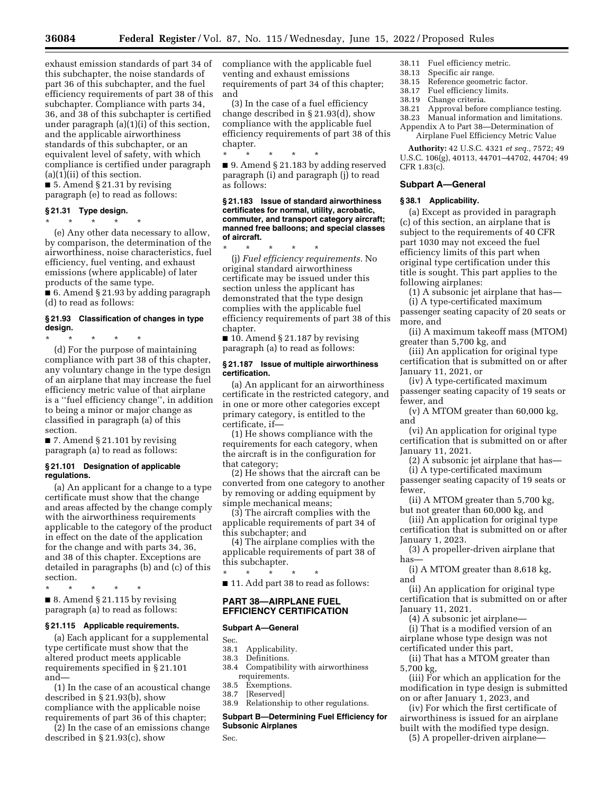exhaust emission standards of part 34 of this subchapter, the noise standards of part 36 of this subchapter, and the fuel efficiency requirements of part 38 of this subchapter. Compliance with parts 34, 36, and 38 of this subchapter is certified under paragraph (a)(1)(i) of this section, and the applicable airworthiness standards of this subchapter, or an equivalent level of safety, with which compliance is certified under paragraph  $(a)(1)(ii)$  of this section.

■ 5. Amend § 21.31 by revising paragraph (e) to read as follows:

**§ 21.31 Type design.**  \* \* \* \* \*

(e) Any other data necessary to allow, by comparison, the determination of the airworthiness, noise characteristics, fuel efficiency, fuel venting, and exhaust emissions (where applicable) of later products of the same type.

■ 6. Amend § 21.93 by adding paragraph (d) to read as follows:

## **§ 21.93 Classification of changes in type design.**

\* \* \* \* \*

(d) For the purpose of maintaining compliance with part 38 of this chapter, any voluntary change in the type design of an airplane that may increase the fuel efficiency metric value of that airplane is a ''fuel efficiency change'', in addition to being a minor or major change as classified in paragraph (a) of this section.

 $\blacksquare$  7. Amend § 21.101 by revising paragraph (a) to read as follows:

### **§ 21.101 Designation of applicable regulations.**

(a) An applicant for a change to a type certificate must show that the change and areas affected by the change comply with the airworthiness requirements applicable to the category of the product in effect on the date of the application for the change and with parts 34, 36, and 38 of this chapter. Exceptions are detailed in paragraphs (b) and (c) of this section.

\* \* \* \* \*

■ 8. Amend § 21.115 by revising paragraph (a) to read as follows:

## **§ 21.115 Applicable requirements.**

(a) Each applicant for a supplemental type certificate must show that the altered product meets applicable requirements specified in § 21.101 and—

(1) In the case of an acoustical change described in § 21.93(b), show compliance with the applicable noise requirements of part 36 of this chapter;

(2) In the case of an emissions change described in § 21.93(c), show

compliance with the applicable fuel venting and exhaust emissions requirements of part 34 of this chapter; and

(3) In the case of a fuel efficiency change described in § 21.93(d), show compliance with the applicable fuel efficiency requirements of part 38 of this chapter.

\* \* \* \* \* ■ 9. Amend § 21.183 by adding reserved paragraph (i) and paragraph (j) to read as follows:

#### **§ 21.183 Issue of standard airworthiness certificates for normal, utility, acrobatic, commuter, and transport category aircraft; manned free balloons; and special classes of aircraft.**

\* \* \* \* \* (j) *Fuel efficiency requirements.* No original standard airworthiness certificate may be issued under this section unless the applicant has demonstrated that the type design complies with the applicable fuel efficiency requirements of part 38 of this chapter.

 $\blacksquare$  10. Amend § 21.187 by revising paragraph (a) to read as follows:

## **§ 21.187 Issue of multiple airworthiness certification.**

(a) An applicant for an airworthiness certificate in the restricted category, and in one or more other categories except primary category, is entitled to the certificate, if—

(1) He shows compliance with the requirements for each category, when the aircraft is in the configuration for that category;

(2) He shows that the aircraft can be converted from one category to another by removing or adding equipment by simple mechanical means;

(3) The aircraft complies with the applicable requirements of part 34 of this subchapter; and

(4) The airplane complies with the applicable requirements of part 38 of this subchapter. \* \* \* \* \*

■ 11. Add part 38 to read as follows:

## **PART 38—AIRPLANE FUEL EFFICIENCY CERTIFICATION**

## **Subpart A—General**

Sec.<br>38.1

- Applicability.
- 38.3 Definitions.
- Compatibility with airworthiness requirements.
- 38.5 Exemptions.
- 38.7 [Reserved]
- 38.9 Relationship to other regulations.

## **Subpart B—Determining Fuel Efficiency for Subsonic Airplanes**

Sec.

- 38.11 Fuel efficiency metric.
- 38.13 Specific air range.
- 38.15 Reference geometric factor.<br>38.17 Fuel efficiency limits. Fuel efficiency limits.
- 
- 38.19 Change criteria.
- Approval before compliance testing. 38.23 Manual information and limitations.
- Appendix A to Part 38—Determination of

Airplane Fuel Efficiency Metric Value

**Authority:** 42 U.S.C. 4321 *et seq.,* 7572; 49 U.S.C. 106(g), 40113, 44701–44702, 44704; 49 CFR 1.83(c).

## **Subpart A—General**

#### **§ 38.1 Applicability.**

(a) Except as provided in paragraph (c) of this section, an airplane that is subject to the requirements of 40 CFR part 1030 may not exceed the fuel efficiency limits of this part when original type certification under this title is sought. This part applies to the following airplanes:

(1) A subsonic jet airplane that has— (i) A type-certificated maximum

passenger seating capacity of 20 seats or more, and

(ii) A maximum takeoff mass (MTOM) greater than 5,700 kg, and

(iii) An application for original type certification that is submitted on or after January 11, 2021, or

(iv) A type-certificated maximum passenger seating capacity of 19 seats or fewer, and

(v) A MTOM greater than 60,000 kg, and

(vi) An application for original type certification that is submitted on or after January 11, 2021.

(2) A subsonic jet airplane that has—

(i) A type-certificated maximum passenger seating capacity of 19 seats or fewer,

(ii) A MTOM greater than 5,700 kg, but not greater than 60,000 kg, and

(iii) An application for original type certification that is submitted on or after January 1, 2023.

(3) A propeller-driven airplane that has—

(i) A MTOM greater than 8,618 kg, and

(ii) An application for original type certification that is submitted on or after January 11, 2021.

(4) A subsonic jet airplane— (i) That is a modified version of an airplane whose type design was not certificated under this part,

(ii) That has a MTOM greater than 5,700 kg,

(iii) For which an application for the modification in type design is submitted on or after January 1, 2023, and

(iv) For which the first certificate of airworthiness is issued for an airplane built with the modified type design.

(5) A propeller-driven airplane—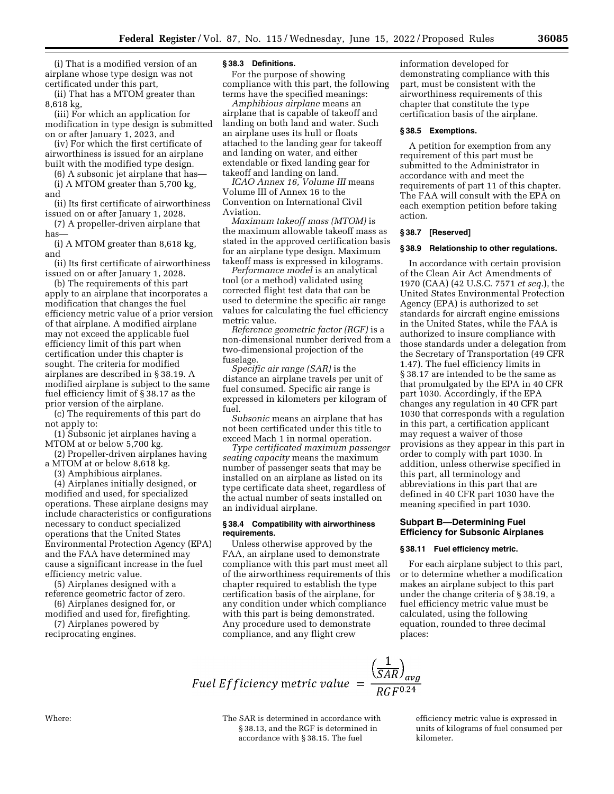(i) That is a modified version of an airplane whose type design was not certificated under this part,

(ii) That has a MTOM greater than 8,618 kg,

(iii) For which an application for modification in type design is submitted on or after January 1, 2023, and

(iv) For which the first certificate of airworthiness is issued for an airplane built with the modified type design.

(6) A subsonic jet airplane that has— (i) A MTOM greater than 5,700 kg,

and

(ii) Its first certificate of airworthiness issued on or after January 1, 2028.

(7) A propeller-driven airplane that has—

(i) A MTOM greater than 8,618 kg, and

(ii) Its first certificate of airworthiness issued on or after January 1, 2028.

(b) The requirements of this part apply to an airplane that incorporates a modification that changes the fuel efficiency metric value of a prior version of that airplane. A modified airplane may not exceed the applicable fuel efficiency limit of this part when certification under this chapter is sought. The criteria for modified airplanes are described in § 38.19. A modified airplane is subject to the same fuel efficiency limit of § 38.17 as the prior version of the airplane.

(c) The requirements of this part do not apply to:

(1) Subsonic jet airplanes having a MTOM at or below 5,700 kg.

(2) Propeller-driven airplanes having a MTOM at or below 8,618 kg.

(3) Amphibious airplanes.

(4) Airplanes initially designed, or modified and used, for specialized operations. These airplane designs may include characteristics or configurations necessary to conduct specialized operations that the United States Environmental Protection Agency (EPA) and the FAA have determined may cause a significant increase in the fuel efficiency metric value.

(5) Airplanes designed with a reference geometric factor of zero.

(6) Airplanes designed for, or modified and used for, firefighting.

(7) Airplanes powered by reciprocating engines.

## **§ 38.3 Definitions.**

For the purpose of showing compliance with this part, the following terms have the specified meanings:

*Amphibious airplane* means an airplane that is capable of takeoff and landing on both land and water. Such an airplane uses its hull or floats attached to the landing gear for takeoff and landing on water, and either extendable or fixed landing gear for takeoff and landing on land.

*ICAO Annex 16, Volume III* means Volume III of Annex 16 to the Convention on International Civil Aviation.

*Maximum takeoff mass (MTOM)* is the maximum allowable takeoff mass as stated in the approved certification basis for an airplane type design. Maximum takeoff mass is expressed in kilograms.

*Performance model* is an analytical tool (or a method) validated using corrected flight test data that can be used to determine the specific air range values for calculating the fuel efficiency metric value.

*Reference geometric factor (RGF)* is a non-dimensional number derived from a two-dimensional projection of the fuselage.

*Specific air range (SAR)* is the distance an airplane travels per unit of fuel consumed. Specific air range is expressed in kilometers per kilogram of fuel.

*Subsonic* means an airplane that has not been certificated under this title to exceed Mach 1 in normal operation.

*Type certificated maximum passenger seating capacity* means the maximum number of passenger seats that may be installed on an airplane as listed on its type certificate data sheet, regardless of the actual number of seats installed on an individual airplane.

## **§ 38.4 Compatibility with airworthiness requirements.**

Unless otherwise approved by the FAA, an airplane used to demonstrate compliance with this part must meet all of the airworthiness requirements of this chapter required to establish the type certification basis of the airplane, for any condition under which compliance with this part is being demonstrated. Any procedure used to demonstrate compliance, and any flight crew

information developed for demonstrating compliance with this part, must be consistent with the airworthiness requirements of this chapter that constitute the type certification basis of the airplane.

#### **§ 38.5 Exemptions.**

A petition for exemption from any requirement of this part must be submitted to the Administrator in accordance with and meet the requirements of part 11 of this chapter. The FAA will consult with the EPA on each exemption petition before taking action.

#### **§ 38.7 [Reserved]**

#### **§ 38.9 Relationship to other regulations.**

In accordance with certain provision of the Clean Air Act Amendments of 1970 (CAA) (42 U.S.C. 7571 *et seq.*), the United States Environmental Protection Agency (EPA) is authorized to set standards for aircraft engine emissions in the United States, while the FAA is authorized to insure compliance with those standards under a delegation from the Secretary of Transportation (49 CFR 1.47). The fuel efficiency limits in § 38.17 are intended to be the same as that promulgated by the EPA in 40 CFR part 1030. Accordingly, if the EPA changes any regulation in 40 CFR part 1030 that corresponds with a regulation in this part, a certification applicant may request a waiver of those provisions as they appear in this part in order to comply with part 1030. In addition, unless otherwise specified in this part, all terminology and abbreviations in this part that are defined in 40 CFR part 1030 have the meaning specified in part 1030.

## **Subpart B—Determining Fuel Efficiency for Subsonic Airplanes**

#### **§ 38.11 Fuel efficiency metric.**

For each airplane subject to this part, or to determine whether a modification makes an airplane subject to this part under the change criteria of § 38.19, a fuel efficiency metric value must be calculated, using the following equation, rounded to three decimal places:

Fuel Efficiency metric value  $=$   $\frac{\left(\frac{1}{SAR}\right)_{avg}}{RGF^{0.24}}$ 

Where: The SAR is determined in accordance with § 38.13, and the RGF is determined in accordance with § 38.15. The fuel

efficiency metric value is expressed in units of kilograms of fuel consumed per kilometer.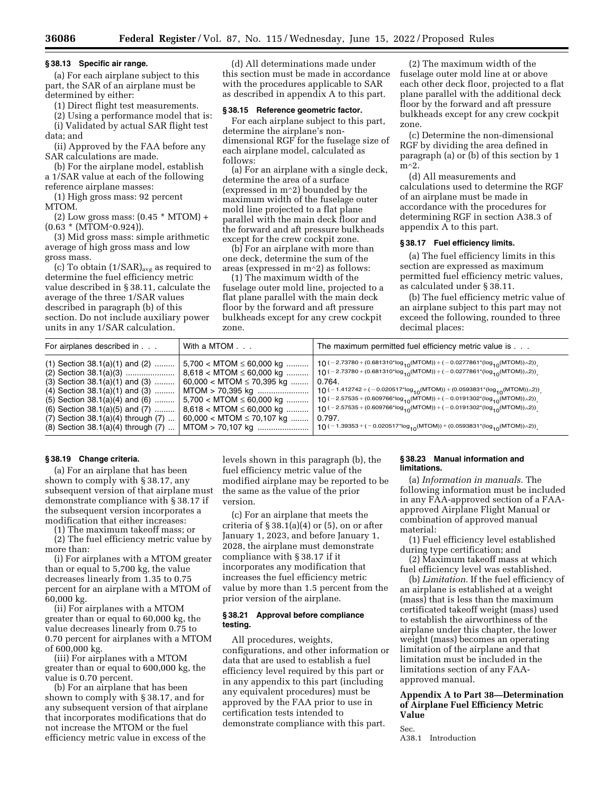## **§ 38.13 Specific air range.**

(a) For each airplane subject to this part, the SAR of an airplane must be determined by either:

(1) Direct flight test measurements.

(2) Using a performance model that is: (i) Validated by actual SAR flight test data; and

(ii) Approved by the FAA before any SAR calculations are made.

(b) For the airplane model, establish a 1/SAR value at each of the following reference airplane masses:

(1) High gross mass: 92 percent MTOM.

 $(2)$  Low gross mass:  $(0.45 * MTOM) +$ (0.63 \* (MTOM∧0.924)).

(3) Mid gross mass: simple arithmetic average of high gross mass and low gross mass.

(c) To obtain  $(1/SAR)_{avg}$  as required to determine the fuel efficiency metric value described in § 38.11, calculate the average of the three 1/SAR values described in paragraph (b) of this section. Do not include auxiliary power units in any 1/SAR calculation.

(d) All determinations made under this section must be made in accordance with the procedures applicable to SAR as described in appendix A to this part.

#### **§ 38.15 Reference geometric factor.**

For each airplane subject to this part, determine the airplane's nondimensional RGF for the fuselage size of each airplane model, calculated as follows:

(a) For an airplane with a single deck, determine the area of a surface (expressed in m∧2) bounded by the maximum width of the fuselage outer mold line projected to a flat plane parallel with the main deck floor and the forward and aft pressure bulkheads except for the crew cockpit zone.

(b) For an airplane with more than one deck, determine the sum of the areas (expressed in m∧2) as follows:

(1) The maximum width of the fuselage outer mold line, projected to a flat plane parallel with the main deck floor by the forward and aft pressure bulkheads except for any crew cockpit zone.

(2) The maximum width of the fuselage outer mold line at or above each other deck floor, projected to a flat plane parallel with the additional deck floor by the forward and aft pressure bulkheads except for any crew cockpit zone.

(c) Determine the non-dimensional RGF by dividing the area defined in paragraph (a) or (b) of this section by 1 m∧2.

(d) All measurements and calculations used to determine the RGF of an airplane must be made in accordance with the procedures for determining RGF in section A38.3 of appendix A to this part.

#### **§ 38.17 Fuel efficiency limits.**

(a) The fuel efficiency limits in this section are expressed as maximum permitted fuel efficiency metric values, as calculated under § 38.11.

(b) The fuel efficiency metric value of an airplane subject to this part may not exceed the following, rounded to three decimal places:

| For airplanes described in                                                                                                                                                                                                                                                          | With a MTOM                                                                                                                                                                                                                                | The maximum permitted fuel efficiency metric value is                                                                                                                                                                                                                                                                                                                                                                                                                                                                                                                                                                      |
|-------------------------------------------------------------------------------------------------------------------------------------------------------------------------------------------------------------------------------------------------------------------------------------|--------------------------------------------------------------------------------------------------------------------------------------------------------------------------------------------------------------------------------------------|----------------------------------------------------------------------------------------------------------------------------------------------------------------------------------------------------------------------------------------------------------------------------------------------------------------------------------------------------------------------------------------------------------------------------------------------------------------------------------------------------------------------------------------------------------------------------------------------------------------------------|
|                                                                                                                                                                                                                                                                                     |                                                                                                                                                                                                                                            |                                                                                                                                                                                                                                                                                                                                                                                                                                                                                                                                                                                                                            |
| $(1)$ Section 38.1(a)(1) and (2)<br>$(3)$ Section 38.1(a)(1) and $(3)$<br>$(4)$ Section 38.1 $(a)(1)$ and $(3)$<br>$(5)$ Section 38.1(a)(4) and (6)<br>$(6)$ Section 38.1 $(a)(5)$ and $(7)$<br>$(7)$ Section 38.1(a)(4) through $(7)$<br>$(8)$ Section 38.1 $(a)(4)$ through $(7)$ | $5,700 < M$ TOM $\leq 60,000$ kg<br>$8,618 < M$ TOM $\leq 60,000$ kg<br>$60,000 < M$ TOM $\leq 70,395$ kg<br>MTOM > 70,395 kg<br>$5,700 < M$ TOM $\leq 60,000$ kg<br>$8,618 < M$ TOM $\leq 60,000$ kg<br>$60,000 < M$ TOM $\leq 70,107$ kg | 10 (-2.73780 + (0.681310*log <sub>10</sub> (MTOM)) + (-0.0277861*(log <sub>10</sub> (MTOM)) $\sim$ 2))<br>$10 (-2.73780 + (0.681310*log_{10}(MTOM)) + (-0.0277861*log_{10}(MTOM)) \wedge 2))$<br>0.764.<br>10 (-1.412742 + (-0.020517*log <sub>10</sub> (MTOM)) + (0.0593831*(log <sub>10</sub> (MTOM)) $\sim$ 2))<br><b>10</b> (−2.57535 + (0.609766*log <sub>10</sub> (MTOM)) + (−0.0191302*(log <sub>10</sub> (MTOM))∧2))<br>$10 (-2.57535 + (0.609766*log_{10}(MTOM)) + (-0.0191302*(log_{10}(MTOM)) \wedge 2)).$<br>0.797.<br>$10 (-1.39353 + (-0.020517*)\log_{10}(MTOM)) + (0.0593831*(\log_{10}(MTOM)) \wedge 2))$ |

# **§ 38.19 Change criteria.**

(a) For an airplane that has been shown to comply with § 38.17, any subsequent version of that airplane must demonstrate compliance with § 38.17 if the subsequent version incorporates a modification that either increases:

(1) The maximum takeoff mass; or

(2) The fuel efficiency metric value by more than:

(i) For airplanes with a MTOM greater than or equal to 5,700 kg, the value decreases linearly from 1.35 to 0.75 percent for an airplane with a MTOM of 60,000 kg.

(ii) For airplanes with a MTOM greater than or equal to 60,000 kg, the value decreases linearly from 0.75 to 0.70 percent for airplanes with a MTOM of 600,000 kg.

(iii) For airplanes with a MTOM greater than or equal to 600,000 kg, the value is 0.70 percent.

(b) For an airplane that has been shown to comply with § 38.17, and for any subsequent version of that airplane that incorporates modifications that do not increase the MTOM or the fuel efficiency metric value in excess of the

levels shown in this paragraph (b), the fuel efficiency metric value of the modified airplane may be reported to be the same as the value of the prior version.

(c) For an airplane that meets the criteria of § 38.1(a)(4) or (5), on or after January 1, 2023, and before January 1, 2028, the airplane must demonstrate compliance with § 38.17 if it incorporates any modification that increases the fuel efficiency metric value by more than 1.5 percent from the prior version of the airplane.

## **§ 38.21 Approval before compliance testing.**

All procedures, weights, configurations, and other information or data that are used to establish a fuel efficiency level required by this part or in any appendix to this part (including any equivalent procedures) must be approved by the FAA prior to use in certification tests intended to demonstrate compliance with this part.

## **§ 38.23 Manual information and limitations.**

(a) *Information in manuals.* The following information must be included in any FAA-approved section of a FAAapproved Airplane Flight Manual or combination of approved manual material:

(1) Fuel efficiency level established during type certification; and

(2) Maximum takeoff mass at which fuel efficiency level was established.

(b) *Limitation.* If the fuel efficiency of an airplane is established at a weight (mass) that is less than the maximum certificated takeoff weight (mass) used to establish the airworthiness of the airplane under this chapter, the lower weight (mass) becomes an operating limitation of the airplane and that limitation must be included in the limitations section of any FAAapproved manual.

# **Appendix A to Part 38—Determination of Airplane Fuel Efficiency Metric Value**

Sec.

A38.1 Introduction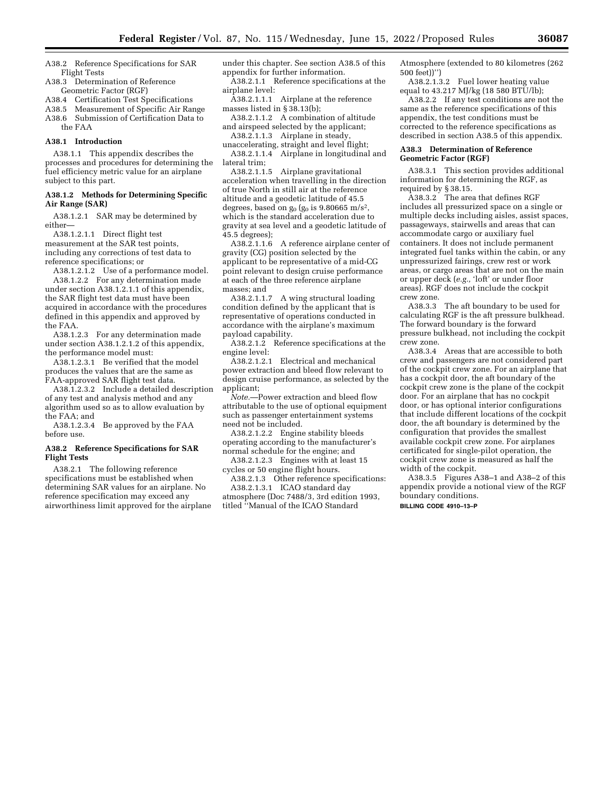A38.2 Reference Specifications for SAR Flight Tests

A38.3 Determination of Reference Geometric Factor (RGF)

A38.4 Certification Test Specifications

A38.5 Measurement of Specific Air Range A38.6 Submission of Certification Data to the FAA

#### **A38.1 Introduction**

A38.1.1 This appendix describes the processes and procedures for determining the fuel efficiency metric value for an airplane subject to this part.

#### **A38.1.2 Methods for Determining Specific Air Range (SAR)**

A38.1.2.1 SAR may be determined by either—

A38.1.2.1.1 Direct flight test measurement at the SAR test points, including any corrections of test data to reference specifications; or

A38.1.2.1.2 Use of a performance model. A38.1.2.2 For any determination made under section A38.1.2.1.1 of this appendix, the SAR flight test data must have been acquired in accordance with the procedures defined in this appendix and approved by the FAA.

A38.1.2.3 For any determination made under section A38.1.2.1.2 of this appendix, the performance model must:

A38.1.2.3.1 Be verified that the model produces the values that are the same as FAA-approved SAR flight test data.

A38.1.2.3.2 Include a detailed description of any test and analysis method and any algorithm used so as to allow evaluation by the FAA; and

A38.1.2.3.4 Be approved by the FAA before use.

#### **A38.2 Reference Specifications for SAR Flight Tests**

A38.2.1 The following reference specifications must be established when determining SAR values for an airplane. No reference specification may exceed any airworthiness limit approved for the airplane under this chapter. See section A38.5 of this appendix for further information.

A38.2.1.1 Reference specifications at the airplane level:

A38.2.1.1.1 Airplane at the reference masses listed in §  $38.13(b)$ ;

A38.2.1.1.2 A combination of altitude and airspeed selected by the applicant;

A38.2.1.1.3 Airplane in steady, unaccelerating, straight and level flight;

A38.2.1.1.4 Airplane in longitudinal and lateral trim;

A38.2.1.1.5 Airplane gravitational acceleration when travelling in the direction of true North in still air at the reference altitude and a geodetic latitude of 45.5 degrees, based on  $g_0$  ( $g_0$  is 9.80665 m/s<sup>2</sup>, which is the standard acceleration due to gravity at sea level and a geodetic latitude of 45.5 degrees);

A38.2.1.1.6 A reference airplane center of gravity (CG) position selected by the applicant to be representative of a mid-CG point relevant to design cruise performance at each of the three reference airplane masses; and

A38.2.1.1.7 A wing structural loading condition defined by the applicant that is representative of operations conducted in accordance with the airplane's maximum payload capability.

A38.2.1.2 Reference specifications at the engine level:

A38.2.1.2.1 Electrical and mechanical power extraction and bleed flow relevant to design cruise performance, as selected by the applicant;

*Note.*—Power extraction and bleed flow attributable to the use of optional equipment such as passenger entertainment systems need not be included.

A38.2.1.2.2 Engine stability bleeds operating according to the manufacturer's normal schedule for the engine; and

A38.2.1.2.3 Engines with at least 15 cycles or 50 engine flight hours.

A38.2.1.3 Other reference specifications: A38.2.1.3.1 ICAO standard day atmosphere (Doc 7488/3, 3rd edition 1993, titled ''Manual of the ICAO Standard

Atmosphere (extended to 80 kilometres (262 500 feet))'')

A38.2.1.3.2 Fuel lower heating value equal to 43.217 MJ/kg (18 580 BTU/lb);

A38.2.2 If any test conditions are not the same as the reference specifications of this appendix, the test conditions must be corrected to the reference specifications as described in section A38.5 of this appendix.

#### **A38.3 Determination of Reference Geometric Factor (RGF)**

A38.3.1 This section provides additional information for determining the RGF, as required by § 38.15.

A38.3.2 The area that defines RGF includes all pressurized space on a single or multiple decks including aisles, assist spaces, passageways, stairwells and areas that can accommodate cargo or auxiliary fuel containers. It does not include permanent integrated fuel tanks within the cabin, or any unpressurized fairings, crew rest or work areas, or cargo areas that are not on the main or upper deck (*e.g.,* 'loft' or under floor areas). RGF does not include the cockpit crew zone.

A38.3.3 The aft boundary to be used for calculating RGF is the aft pressure bulkhead. The forward boundary is the forward pressure bulkhead, not including the cockpit crew zone.

A38.3.4 Areas that are accessible to both crew and passengers are not considered part of the cockpit crew zone. For an airplane that has a cockpit door, the aft boundary of the cockpit crew zone is the plane of the cockpit door. For an airplane that has no cockpit door, or has optional interior configurations that include different locations of the cockpit door, the aft boundary is determined by the configuration that provides the smallest available cockpit crew zone. For airplanes certificated for single-pilot operation, the cockpit crew zone is measured as half the width of the cockpit.

A38.3.5 Figures A38–1 and A38–2 of this appendix provide a notional view of the RGF boundary conditions. **BILLING CODE 4910–13–P**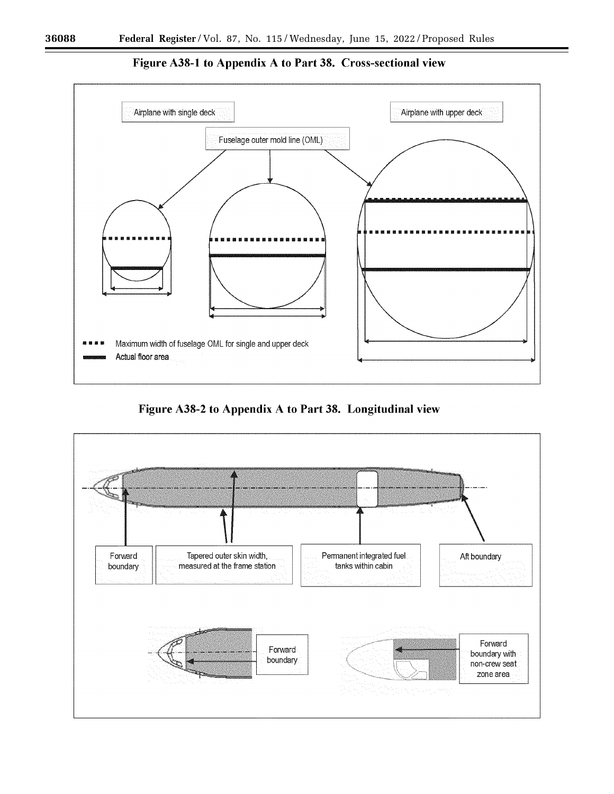

Figure A38-1 to Appendix A to Part 38. Cross-sectional view

Figure A38-2 to Appendix A to Part 38. Longitudinal view

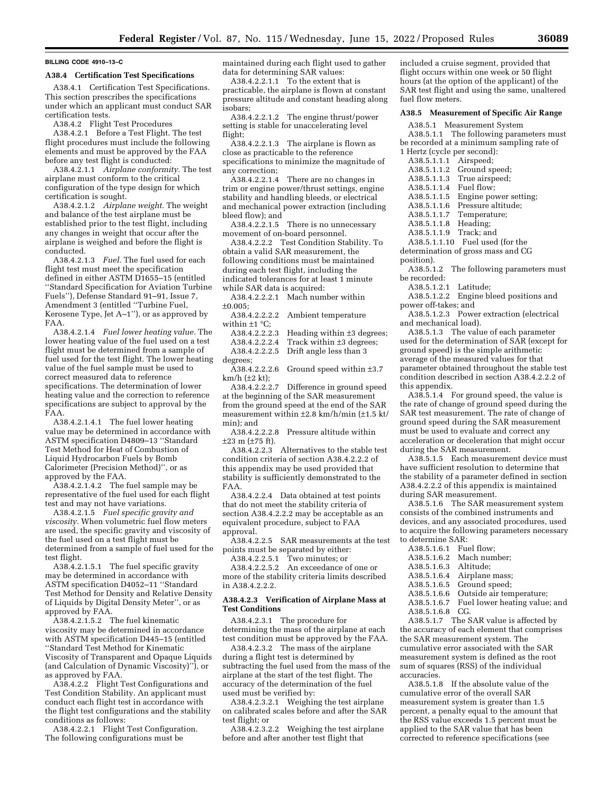#### **BILLING CODE 4910–13–C**

#### **A38.4 Certification Test Specifications**

A38.4.1 Certification Test Specifications. This section prescribes the specifications under which an applicant must conduct SAR certification tests.

A38.4.2 Flight Test Procedures

A38.4.2.1 Before a Test Flight. The test flight procedures must include the following elements and must be approved by the FAA before any test flight is conducted:

A38.4.2.1.1 *Airplane conformity.* The test airplane must conform to the critical configuration of the type design for which certification is sought.

A38.4.2.1.2 *Airplane weight.* The weight and balance of the test airplane must be established prior to the test flight, including any changes in weight that occur after the airplane is weighed and before the flight is conducted.

A38.4.2.1.3 *Fuel.* The fuel used for each flight test must meet the specification defined in either ASTM D1655–15 (entitled ''Standard Specification for Aviation Turbine Fuels''), Defense Standard 91–91, Issue 7, Amendment 3 (entitled ''Turbine Fuel, Kerosene Type, Jet A–1''), or as approved by FAA.

A38.4.2.1.4 *Fuel lower heating value.* The lower heating value of the fuel used on a test flight must be determined from a sample of fuel used for the test flight. The lower heating value of the fuel sample must be used to correct measured data to reference specifications. The determination of lower heating value and the correction to reference specifications are subject to approval by the FAA.

A38.4.2.1.4.1 The fuel lower heating value may be determined in accordance with ASTM specification D4809–13 ''Standard Test Method for Heat of Combustion of Liquid Hydrocarbon Fuels by Bomb Calorimeter (Precision Method)'', or as approved by the FAA.

A38.4.2.1.4.2 The fuel sample may be representative of the fuel used for each flight test and may not have variations.

A38.4.2.1.5 *Fuel specific gravity and viscosity.* When volumetric fuel flow meters are used, the specific gravity and viscosity of the fuel used on a test flight must be determined from a sample of fuel used for the test flight.

A38.4.2.1.5.1 The fuel specific gravity may be determined in accordance with ASTM specification D4052–11 ''Standard Test Method for Density and Relative Density of Liquids by Digital Density Meter'', or as approved by FAA.

A38.4.2.1.5.2 The fuel kinematic viscosity may be determined in accordance with ASTM specification D445–15 (entitled ''Standard Test Method for Kinematic Viscosity of Transparent and Opaque Liquids (and Calculation of Dynamic Viscosity)''), or as approved by FAA.

A38.4.2.2 Flight Test Configurations and Test Condition Stability. An applicant must conduct each flight test in accordance with the flight test configurations and the stability conditions as follows:

A38.4.2.2.1 Flight Test Configuration. The following configurations must be

maintained during each flight used to gather data for determining SAR values:

A38.4.2.2.1.1 To the extent that is practicable, the airplane is flown at constant pressure altitude and constant heading along isobars;

A38.4.2.2.1.2 The engine thrust/power setting is stable for unaccelerating level flight;

A38.4.2.2.1.3 The airplane is flown as close as practicable to the reference specifications to minimize the magnitude of any correction;

A38.4.2.2.1.4 There are no changes in trim or engine power/thrust settings, engine stability and handling bleeds, or electrical and mechanical power extraction (including bleed flow); and

A38.4.2.2.1.5 There is no unnecessary movement of on-board personnel.

A38.4.2.2.2 Test Condition Stability. To obtain a valid SAR measurement, the following conditions must be maintained during each test flight, including the indicated tolerances for at least 1 minute while SAR data is acquired:

A38.4.2.2.2.1 Mach number within ±0.005;

A38.4.2.2.2.2 Ambient temperature within  $\pm 1$  °C;

A38.4.2.2.2.3 Heading within ±3 degrees;

A38.4.2.2.2.4 Track within ±3 degrees; A38.4.2.2.2.5 Drift angle less than 3

degrees;

A38.4.2.2.2.6 Ground speed within ±3.7 km/h (±2 kt);

A38.4.2.2.2.7 Difference in ground speed at the beginning of the SAR measurement from the ground speed at the end of the SAR measurement within ±2.8 km/h/min (±1.5 kt/ min); and

A38.4.2.2.2.8 Pressure altitude within ±23 m (±75 ft).

A38.4.2.2.3 Alternatives to the stable test condition criteria of section A38.4.2.2.2 of this appendix may be used provided that stability is sufficiently demonstrated to the FAA.

A38.4.2.2.4 Data obtained at test points that do not meet the stability criteria of section A38.4.2.2.2 may be acceptable as an equivalent procedure, subject to FAA approval.

A38.4.2.2.5 SAR measurements at the test points must be separated by either:

A38.4.2.2.5.1 Two minutes; or

A38.4.2.2.5.2 An exceedance of one or more of the stability criteria limits described in A38.4.2.2.2.

#### **A38.4.2.3 Verification of Airplane Mass at Test Conditions**

A38.4.2.3.1 The procedure for determining the mass of the airplane at each test condition must be approved by the FAA.

A38.4.2.3.2 The mass of the airplane during a flight test is determined by subtracting the fuel used from the mass of the airplane at the start of the test flight. The accuracy of the determination of the fuel used must be verified by:

A38.4.2.3.2.1 Weighing the test airplane on calibrated scales before and after the SAR test flight; or

A38.4.2.3.2.2 Weighing the test airplane before and after another test flight that

included a cruise segment, provided that flight occurs within one week or 50 flight hours (at the option of the applicant) of the SAR test flight and using the same, unaltered fuel flow meters.

#### **A38.5 Measurement of Specific Air Range**

A38.5.1 Measurement System

A38.5.1.1 The following parameters must be recorded at a minimum sampling rate of 1 Hertz (cycle per second):

- A38.5.1.1.1 Airspeed;<br>A38.5.1.1.2 Ground sp
- Ground speed;
- A38.5.1.1.3 True airspeed;
- A38.5.1.1.4 Fuel flow;<br>A38.5.1.1.5 Engine poy
- Engine power setting;
- A38.5.1.1.6 Pressure altitude;<br>A38.5.1.1.7 Temperature;
- Temperature:
- A38.5.1.1.8 Heading;
- A38.5.1.1.9 Track; and

A38.5.1.1.10 Fuel used (for the

- determination of gross mass and CG
- position).
- A38.5.1.2 The following parameters must be recorded:
	- A38.5.1.2.1 Latitude;

A38.5.1.2.2 Engine bleed positions and power off-takes; and

A38.5.1.2.3 Power extraction (electrical and mechanical load).

A38.5.1.3 The value of each parameter used for the determination of SAR (except for ground speed) is the simple arithmetic average of the measured values for that parameter obtained throughout the stable test condition described in section A38.4.2.2.2 of this appendix.

A38.5.1.4 For ground speed, the value is the rate of change of ground speed during the SAR test measurement. The rate of change of ground speed during the SAR measurement must be used to evaluate and correct any acceleration or deceleration that might occur during the SAR measurement.

A38.5.1.5 Each measurement device must have sufficient resolution to determine that the stability of a parameter defined in section A38.4.2.2.2 of this appendix is maintained during SAR measurement.

A38.5.1.6 The SAR measurement system consists of the combined instruments and devices, and any associated procedures, used to acquire the following parameters necessary to determine SAR:

- A38.5.1.6.1 Fuel flow;
- A38.5.1.6.2 Mach number;<br>A38.5.1.6.3 Altitude;
- $A38.5.1.6.3$
- A38.5.1.6.4 Airplane mass;
- A38.5.1.6.5 Ground speed;
- A38.5.1.6.6 Outside air temperature;
- A38.5.1.6.7 Fuel lower heating value; and
- A38.5.1.6.8 CG.

A38.5.1.7 The SAR value is affected by the accuracy of each element that comprises the SAR measurement system. The cumulative error associated with the SAR measurement system is defined as the root sum of squares (RSS) of the individual accuracies.

A38.5.1.8 If the absolute value of the cumulative error of the overall SAR measurement system is greater than 1.5 percent, a penalty equal to the amount that the RSS value exceeds 1.5 percent must be applied to the SAR value that has been corrected to reference specifications (see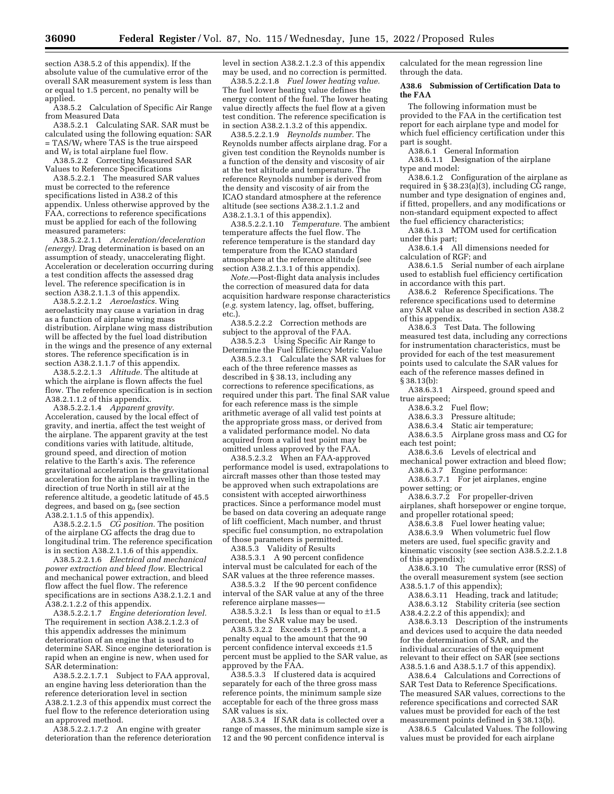section A38.5.2 of this appendix). If the absolute value of the cumulative error of the overall SAR measurement system is less than or equal to 1.5 percent, no penalty will be applied.

A38.5.2 Calculation of Specific Air Range from Measured Data

A38.5.2.1 Calculating SAR. SAR must be calculated using the following equation: SAR  $=$  TAS/W<sub>f</sub> where TAS is the true airspeed and  $W_f$  is total airplane fuel flow.

A38.5.2.2 Correcting Measured SAR Values to Reference Specifications

A38.5.2.2.1 The measured SAR values must be corrected to the reference specifications listed in A38.2 of this appendix. Unless otherwise approved by the FAA, corrections to reference specifications must be applied for each of the following measured parameters:

A38.5.2.2.1.1 *Acceleration/deceleration (energy).* Drag determination is based on an assumption of steady, unaccelerating flight. Acceleration or deceleration occurring during a test condition affects the assessed drag level. The reference specification is in section A38.2.1.1.3 of this appendix.

A38.5.2.2.1.2 *Aeroelastics.* Wing aeroelasticity may cause a variation in drag as a function of airplane wing mass distribution. Airplane wing mass distribution will be affected by the fuel load distribution in the wings and the presence of any external stores. The reference specification is in section A38.2.1.1.7 of this appendix.

A38.5.2.2.1.3 *Altitude.* The altitude at which the airplane is flown affects the fuel flow. The reference specification is in section A38.2.1.1.2 of this appendix.

A38.5.2.2.1.4 *Apparent gravity.*  Acceleration, caused by the local effect of gravity, and inertia, affect the test weight of the airplane. The apparent gravity at the test conditions varies with latitude, altitude, ground speed, and direction of motion relative to the Earth's axis. The reference gravitational acceleration is the gravitational acceleration for the airplane travelling in the direction of true North in still air at the reference altitude, a geodetic latitude of 45.5 degrees, and based on  $g_0$  (see section A38.2.1.1.5 of this appendix).

A38.5.2.2.1.5 *CG position.* The position of the airplane CG affects the drag due to longitudinal trim. The reference specification is in section A38.2.1.1.6 of this appendix.

A38.5.2.2.1.6 *Electrical and mechanical power extraction and bleed flow.* Electrical and mechanical power extraction, and bleed flow affect the fuel flow. The reference specifications are in sections A38.2.1.2.1 and A38.2.1.2.2 of this appendix.

A38.5.2.2.1.7 *Engine deterioration level.*  The requirement in section A38.2.1.2.3 of this appendix addresses the minimum deterioration of an engine that is used to determine SAR. Since engine deterioration is rapid when an engine is new, when used for SAR determination:

A38.5.2.2.1.7.1 Subject to FAA approval, an engine having less deterioration than the reference deterioration level in section A38.2.1.2.3 of this appendix must correct the fuel flow to the reference deterioration using an approved method.

A38.5.2.2.1.7.2 An engine with greater deterioration than the reference deterioration

level in section A38.2.1.2.3 of this appendix may be used, and no correction is permitted.

A38.5.2.2.1.8 *Fuel lower heating value.*  The fuel lower heating value defines the energy content of the fuel. The lower heating value directly affects the fuel flow at a given test condition. The reference specification is in section A38.2.1.3.2 of this appendix.

A38.5.2.2.1.9 *Reynolds number.* The Reynolds number affects airplane drag. For a given test condition the Reynolds number is a function of the density and viscosity of air at the test altitude and temperature. The reference Reynolds number is derived from the density and viscosity of air from the ICAO standard atmosphere at the reference altitude (see sections A38.2.1.1.2 and A38.2.1.3.1 of this appendix).

A38.5.2.2.1.10 *Temperature.* The ambient temperature affects the fuel flow. The reference temperature is the standard day temperature from the ICAO standard atmosphere at the reference altitude (see section A38.2.1.3.1 of this appendix).

*Note.*—Post-flight data analysis includes the correction of measured data for data acquisition hardware response characteristics (*e.g.* system latency, lag, offset, buffering, etc.).

A38.5.2.2.2 Correction methods are subject to the approval of the FAA. A38.5.2.3 Using Specific Air Range to

Determine the Fuel Efficiency Metric Value

A38.5.2.3.1 Calculate the SAR values for each of the three reference masses as described in § 38.13, including any corrections to reference specifications, as required under this part. The final SAR value for each reference mass is the simple arithmetic average of all valid test points at the appropriate gross mass, or derived from a validated performance model. No data acquired from a valid test point may be omitted unless approved by the FAA.

A38.5.2.3.2 When an FAA-approved performance model is used, extrapolations to aircraft masses other than those tested may be approved when such extrapolations are consistent with accepted airworthiness practices. Since a performance model must be based on data covering an adequate range of lift coefficient, Mach number, and thrust specific fuel consumption, no extrapolation of those parameters is permitted.

A38.5.3 Validity of Results

A38.5.3.1 A 90 percent confidence interval must be calculated for each of the SAR values at the three reference masses.

A38.5.3.2 If the 90 percent confidence interval of the SAR value at any of the three reference airplane masses—

A38.5.3.2.1 Is less than or equal to  $\pm 1.5$ percent, the SAR value may be used.

A38.5.3.2.2 Exceeds ±1.5 percent, a penalty equal to the amount that the 90 percent confidence interval exceeds ±1.5 percent must be applied to the SAR value, as approved by the FAA.

A38.5.3.3 If clustered data is acquired separately for each of the three gross mass reference points, the minimum sample size acceptable for each of the three gross mass SAR values is six.

A38.5.3.4 If SAR data is collected over a range of masses, the minimum sample size is 12 and the 90 percent confidence interval is

calculated for the mean regression line through the data.

#### **A38.6 Submission of Certification Data to the FAA**

The following information must be provided to the FAA in the certification test report for each airplane type and model for which fuel efficiency certification under this part is sought.

A38.6.1 General Information

A38.6.1.1 Designation of the airplane type and model:

A38.6.1.2 Configuration of the airplane as required in  $\S 38.23(a)(3)$ , including CG range, number and type designation of engines and, if fitted, propellers, and any modifications or non-standard equipment expected to affect the fuel efficiency characteristics;

A38.6.1.3 MTOM used for certification under this part;

A38.6.1.4 All dimensions needed for calculation of RGF; and

A38.6.1.5 Serial number of each airplane used to establish fuel efficiency certification in accordance with this part.

A38.6.2 Reference Specifications. The reference specifications used to determine any SAR value as described in section A38.2 of this appendix.

A38.6.3 Test Data. The following measured test data, including any corrections for instrumentation characteristics, must be provided for each of the test measurement points used to calculate the SAR values for each of the reference masses defined in § 38.13(b):

A38.6.3.1 Airspeed, ground speed and true airspeed;<br>A38.6.3.2 Fuel flow;

 $A38.6.3.2$ 

- A38.6.3.3 Pressure altitude;
- 
- A38.6.3.4 Static air temperature;<br>A38.6.3.5 Airplane gross mass are Airplane gross mass and CG for each test point;
- A38.6.3.6 Levels of electrical and

mechanical power extraction and bleed flow;

- A38.6.3.7 Engine performance:
- A38.6.3.7.1 For jet airplanes, engine power setting; or

A38.6.3.7.2 For propeller-driven

airplanes, shaft horsepower or engine torque, and propeller rotational speed;

A38.6.3.8 Fuel lower heating value;

A38.6.3.9 When volumetric fuel flow meters are used, fuel specific gravity and kinematic viscosity (see section A38.5.2.2.1.8 of this appendix);

A38.6.3.10 The cumulative error (RSS) of the overall measurement system (see section A38.5.1.7 of this appendix);

A38.6.3.11 Heading, track and latitude; A38.6.3.12 Stability criteria (see section A38.4.2.2.2 of this appendix); and

A38.6.3.13 Description of the instruments and devices used to acquire the data needed for the determination of SAR, and the individual accuracies of the equipment relevant to their effect on SAR (see sections A38.5.1.6 and A38.5.1.7 of this appendix).

A38.6.4 Calculations and Corrections of SAR Test Data to Reference Specifications. The measured SAR values, corrections to the reference specifications and corrected SAR values must be provided for each of the test measurement points defined in § 38.13(b).

A38.6.5 Calculated Values. The following values must be provided for each airplane